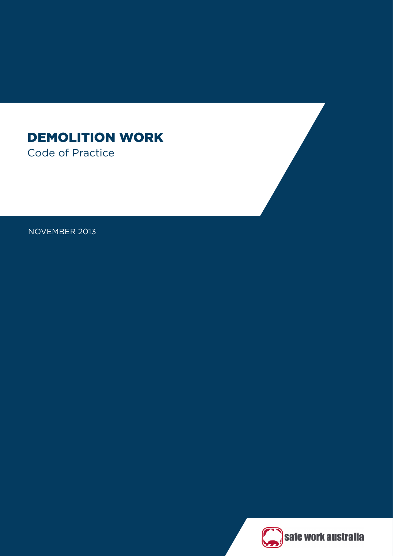# DEMOLITION WORK Code of Practice

NOVEMBER 2013

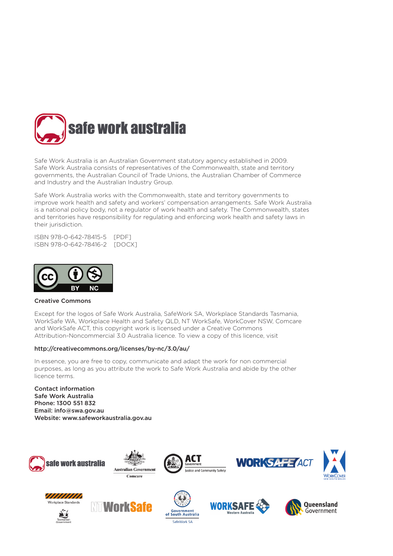

Safe Work Australia is an Australian Government statutory agency established in 2009. Safe Work Australia consists of representatives of the Commonwealth, state and territory governments, the Australian Council of Trade Unions, the Australian Chamber of Commerce and Industry and the Australian Industry Group.

Safe Work Australia works with the Commonwealth, state and territory governments to improve work health and safety and workers' compensation arrangements. Safe Work Australia is a national policy body, not a regulator of work health and safety. The Commonwealth, states and territories have responsibility for regulating and enforcing work health and safety laws in their jurisdiction.

ISBN 978-0-642-78415-5 [PDF] ISBN 978-0-642-78416-2 [DOCX]



### Creative Commons

Except for the logos of Safe Work Australia, SafeWork SA, Workplace Standards Tasmania, WorkSafe WA, Workplace Health and Safety QLD, NT WorkSafe, WorkCover NSW, Comcare and WorkSafe ACT, this copyright work is licensed under a Creative Commons Attribution-Noncommercial 3.0 Australia licence. To view a copy of this licence, visit

### <http://creativecommons.org/licenses/by-nc/3.0/au/>

In essence, you are free to copy, communicate and adapt the work for non commercial purposes, as long as you attribute the work to Safe Work Australia and abide by the other licence terms.

Contact information Safe Work Australia Phone: 1300 551 832 Email: [info@swa.gov.au](http://www.safeworkaustralia.gov.au/sites/swa/contact/pages/contact) Website: [www.safeworkaustralia.gov.au](http://www.safeworkaustralia.gov.au/sites/SWA)





















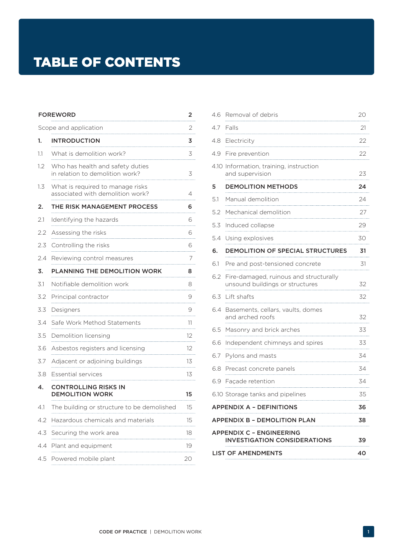# TABLE OF CONTENTS

| <b>FOREWORD</b><br>2  |                                                                                                                                                                                                                                                                 |         |  |  |
|-----------------------|-----------------------------------------------------------------------------------------------------------------------------------------------------------------------------------------------------------------------------------------------------------------|---------|--|--|
| Scope and application |                                                                                                                                                                                                                                                                 |         |  |  |
| 1.                    | <b>INTRODUCTION</b>                                                                                                                                                                                                                                             | 3       |  |  |
| 11                    | What is demolition work?                                                                                                                                                                                                                                        | 3       |  |  |
| 1.2                   | Who has health and safety duties<br>in relation to demolition work?                                                                                                                                                                                             | 3       |  |  |
| 1.3                   | What is required to manage risks<br>associated with demolition work?                                                                                                                                                                                            |         |  |  |
| 2.                    | THE RISK MANAGEMENT PROCESS                                                                                                                                                                                                                                     |         |  |  |
| 2.1                   | Identifying the hazards                                                                                                                                                                                                                                         | 6       |  |  |
| 2.2                   | Assessing the risks                                                                                                                                                                                                                                             | 6       |  |  |
| 2.3                   | Controlling the risks                                                                                                                                                                                                                                           |         |  |  |
| 2.4                   | Reviewing control measures<br>$\frac{1}{2}$ . The continuum continuum continuum continuum continuum continuum continuum continuum continuum continuum continuum continuum continuum continuum continuum continuum continuum continuum continuum continuum conti |         |  |  |
| 3.                    | PLANNING THE DEMOLITION WORK<br>8                                                                                                                                                                                                                               |         |  |  |
| 3.1                   | Notifiable demolition work                                                                                                                                                                                                                                      | 8       |  |  |
| 3.2                   | Principal contractor                                                                                                                                                                                                                                            |         |  |  |
| 3.3                   | Designers                                                                                                                                                                                                                                                       |         |  |  |
| 3.4                   | Safe Work Method Statements                                                                                                                                                                                                                                     | 11<br>. |  |  |
| 3.5                   | Demolition licensing                                                                                                                                                                                                                                            | 12      |  |  |
| 3.6                   | Asbestos registers and licensing                                                                                                                                                                                                                                | 12      |  |  |
| 3.7                   | Adjacent or adjoining buildings                                                                                                                                                                                                                                 | 13<br>. |  |  |
| 3.8                   | <b>Essential services</b>                                                                                                                                                                                                                                       | 13      |  |  |
| 4.                    | <b>CONTROLLING RISKS IN</b><br><b>DEMOLITION WORK</b>                                                                                                                                                                                                           | 15      |  |  |
| 4.1                   | The building or structure to be demolished                                                                                                                                                                                                                      | 15      |  |  |
| 4.2                   | Hazardous chemicals and materials                                                                                                                                                                                                                               |         |  |  |
| 4.3                   | Securing the work area                                                                                                                                                                                                                                          | 18      |  |  |
| 4.4                   | Plant and equipment                                                                                                                                                                                                                                             | 19      |  |  |
| 4.5                   | Powered mobile plant                                                                                                                                                                                                                                            | 20      |  |  |

| 4.6                                                                   | Removal of debris                                                         | 20 |  |
|-----------------------------------------------------------------------|---------------------------------------------------------------------------|----|--|
| 4.7                                                                   | Falls                                                                     | 21 |  |
| 4.8                                                                   | Electricity                                                               | 22 |  |
| 49                                                                    | Fire prevention                                                           | 22 |  |
|                                                                       | 4.10 Information, training, instruction<br>and supervision                | 23 |  |
| 5                                                                     | <b>DEMOLITION METHODS</b>                                                 | 24 |  |
| 5.1                                                                   | Manual demolition                                                         | 24 |  |
| 5.2                                                                   | Mechanical demolition                                                     | 27 |  |
| 5.3                                                                   | Induced collapse                                                          | 29 |  |
| 5.4                                                                   | Using explosives                                                          | 30 |  |
| 6.                                                                    | DEMOLITION OF SPECIAL STRUCTURES<br>31                                    |    |  |
| 6.1                                                                   | Pre and post-tensioned concrete                                           | 31 |  |
| 6.2                                                                   | Fire-damaged, ruinous and structurally<br>unsound buildings or structures | 32 |  |
| 6.3                                                                   | Lift shafts                                                               | 32 |  |
| 6.4                                                                   | Basements, cellars, vaults, domes<br>and arched roofs                     | 32 |  |
| 6.5                                                                   | Masonry and brick arches                                                  | 33 |  |
| 6.6                                                                   | Independent chimneys and spires                                           | 33 |  |
| 6.7                                                                   | Pylons and masts                                                          | 34 |  |
| 6.8                                                                   | Precast concrete panels                                                   | 34 |  |
| 6.9                                                                   | Façade retention                                                          | 34 |  |
|                                                                       | 6.10 Storage tanks and pipelines                                          | 35 |  |
| APPENDIX A - DEFINITIONS<br>36                                        |                                                                           |    |  |
| APPENDIX B - DEMOLITION PLAN                                          |                                                                           |    |  |
| APPENDIX C - ENGINEERING<br><b>INVESTIGATION CONSIDERATIONS</b><br>39 |                                                                           |    |  |
| <b>LIST OF AMENDMENTS</b>                                             |                                                                           |    |  |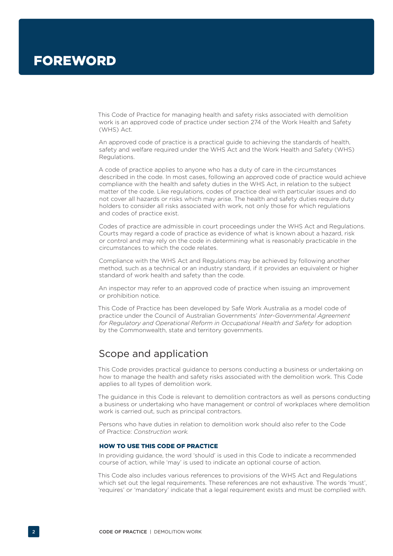This Code of Practice for managing health and safety risks associated with demolition work is an approved code of practice under section 274 of the Work Health and Safety (WHS) Act.

An approved code of practice is a practical guide to achieving the standards of health, safety and welfare required under the WHS Act and the Work Health and Safety (WHS) Regulations.

A code of practice applies to anyone who has a duty of care in the circumstances described in the code. In most cases, following an approved code of practice would achieve compliance with the health and safety duties in the WHS Act, in relation to the subject matter of the code. Like regulations, codes of practice deal with particular issues and do not cover all hazards or risks which may arise. The health and safety duties require duty holders to consider all risks associated with work, not only those for which regulations and codes of practice exist.

Codes of practice are admissible in court proceedings under the WHS Act and Regulations. Courts may regard a code of practice as evidence of what is known about a hazard, risk or control and may rely on the code in determining what is reasonably practicable in the circumstances to which the code relates.

Compliance with the WHS Act and Regulations may be achieved by following another method, such as a technical or an industry standard, if it provides an equivalent or higher standard of work health and safety than the code.

An inspector may refer to an approved code of practice when issuing an improvement or prohibition notice.

This Code of Practice has been developed by Safe Work Australia as a model code of practice under the Council of Australian Governments' *Inter-Governmental Agreement for Regulatory and Operational Reform in Occupational Health and Safety* for adoption by the Commonwealth, state and territory governments.

# Scope and application

This Code provides practical guidance to persons conducting a business or undertaking on how to manage the health and safety risks associated with the demolition work. This Code applies to all types of demolition work.

The guidance in this Code is relevant to demolition contractors as well as persons conducting a business or undertaking who have management or control of workplaces where demolition work is carried out, such as principal contractors.

Persons who have duties in relation to demolition work should also refer to the Code of Practice: *Construction work.* 

### HOW TO USE THIS CODE OF PRACTICE

In providing guidance, the word 'should' is used in this Code to indicate a recommended course of action, while 'may' is used to indicate an optional course of action.

This Code also includes various references to provisions of the WHS Act and Regulations which set out the legal requirements. These references are not exhaustive. The words 'must', 'requires' or 'mandatory' indicate that a legal requirement exists and must be complied with.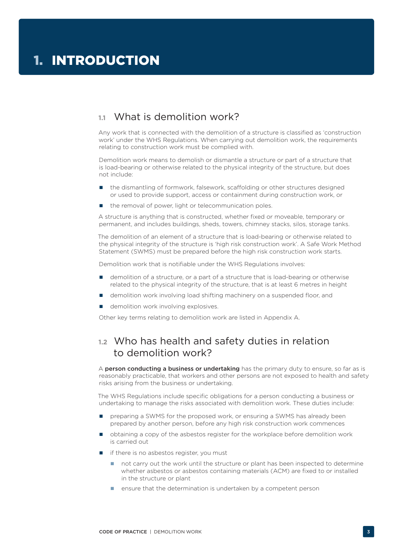# **1.1** What is demolition work?

Any work that is connected with the demolition of a structure is classified as 'construction work' under the WHS Regulations. When carrying out demolition work, the requirements relating to construction work must be complied with.

Demolition work means to demolish or dismantle a structure or part of a structure that is load-bearing or otherwise related to the physical integrity of the structure, but does not include:

- the dismantling of formwork, falsework, scaffolding or other structures designed or used to provide support, access or containment during construction work, or
- the removal of power, light or telecommunication poles.

A structure is anything that is constructed, whether fixed or moveable, temporary or permanent, and includes buildings, sheds, towers, chimney stacks, silos, storage tanks.

The demolition of an element of a structure that is load-bearing or otherwise related to the physical integrity of the structure is 'high risk construction work'. A Safe Work Method Statement (SWMS) must be prepared before the high risk construction work starts.

Demolition work that is notifiable under the WHS Regulations involves:

- demolition of a structure, or a part of a structure that is load-bearing or otherwise related to the physical integrity of the structure, that is at least 6 metres in height
- demolition work involving load shifting machinery on a suspended floor, and
- demolition work involving explosives.

Other key terms relating to demolition work are listed in Appendix A.

# **1.2** Who has health and safety duties in relation to demolition work?

A person conducting a business or undertaking has the primary duty to ensure, so far as is reasonably practicable, that workers and other persons are not exposed to health and safety risks arising from the business or undertaking.

The WHS Regulations include specific obligations for a person conducting a business or undertaking to manage the risks associated with demolition work. These duties include:

- preparing a SWMS for the proposed work, or ensuring a SWMS has already been prepared by another person, before any high risk construction work commences
- obtaining a copy of the asbestos register for the workplace before demolition work is carried out
- if there is no asbestos register, you must
	- not carry out the work until the structure or plant has been inspected to determine whether asbestos or asbestos containing materials (ACM) are fixed to or installed in the structure or plant
	- **E** ensure that the determination is undertaken by a competent person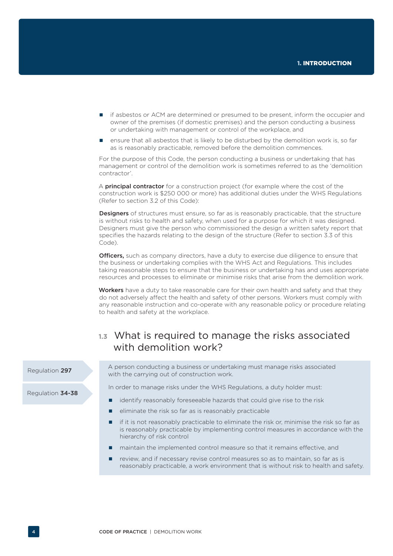- **If asbestos or ACM are determined or presumed to be present, inform the occupier and** owner of the premises (if domestic premises) and the person conducting a business or undertaking with management or control of the workplace, and
- ensure that all asbestos that is likely to be disturbed by the demolition work is, so far as is reasonably practicable, removed before the demolition commences.

For the purpose of this Code, the person conducting a business or undertaking that has management or control of the demolition work is sometimes referred to as the 'demolition contractor'.

A **principal contractor** for a construction project (for example where the cost of the construction work is \$250 000 or more) has additional duties under the WHS Regulations (Refer to section 3.2 of this Code):

**Designers** of structures must ensure, so far as is reasonably practicable, that the structure is without risks to health and safety, when used for a purpose for which it was designed. Designers must give the person who commissioned the design a written safety report that specifies the hazards relating to the design of the structure (Refer to section 3.3 of this Code).

**Officers,** such as company directors, have a duty to exercise due diligence to ensure that the business or undertaking complies with the WHS Act and Regulations. This includes taking reasonable steps to ensure that the business or undertaking has and uses appropriate resources and processes to eliminate or minimise risks that arise from the demolition work.

Workers have a duty to take reasonable care for their own health and safety and that they do not adversely affect the health and safety of other persons. Workers must comply with any reasonable instruction and co-operate with any reasonable policy or procedure relating to health and safety at the workplace.

# **1.3** What is required to manage the risks associated with demolition work?

Regulation 297

Regulation 34-38

A person conducting a business or undertaking must manage risks associated with the carrying out of construction work.

In order to manage risks under the WHS Regulations, a duty holder must:

- identify reasonably foreseeable hazards that could give rise to the risk
- eliminate the risk so far as is reasonably practicable
- if it is not reasonably practicable to eliminate the risk or, minimise the risk so far as is reasonably practicable by implementing control measures in accordance with the hierarchy of risk control
- maintain the implemented control measure so that it remains effective, and
- **review, and if necessary revise control measures so as to maintain, so far as is** reasonably practicable, a work environment that is without risk to health and safety.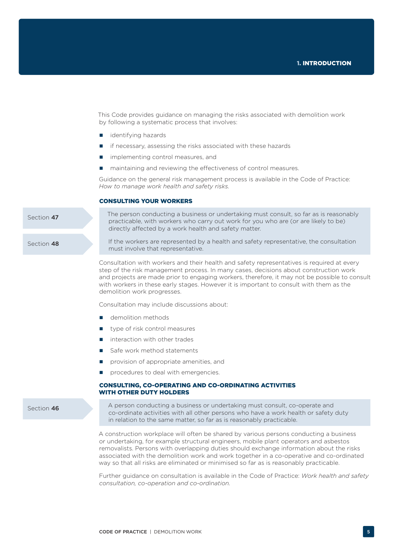This Code provides guidance on managing the risks associated with demolition work by following a systematic process that involves:

- dentifying hazards
- $\blacksquare$  if necessary, assessing the risks associated with these hazards
- implementing control measures, and
- $\blacksquare$  maintaining and reviewing the effectiveness of control measures.

Guidance on the general risk management process is available in the Code of Practice: *How to manage work health and safety risks.*

### CONSULTING YOUR WORKERS

Section 47

The person conducting a business or undertaking must consult, so far as is reasonably practicable, with workers who carry out work for you who are (or are likely to be) directly affected by a work health and safety matter.

Section 48

If the workers are represented by a health and safety representative, the consultation must involve that representative.

Consultation with workers and their health and safety representatives is required at every step of the risk management process. In many cases, decisions about construction work and projects are made prior to engaging workers, therefore, it may not be possible to consult with workers in these early stages. However it is important to consult with them as the demolition work progresses.

Consultation may include discussions about:

- **demolition methods**
- type of risk control measures
- interaction with other trades
- Safe work method statements
- **Part of appropriate amenities, and**
- procedures to deal with emergencies.

### CONSULTING, CO-OPERATING AND CO-ORDINATING ACTIVITIES WITH OTHER DUTY HOLDERS

Section 46

A person conducting a business or undertaking must consult, co-operate and co-ordinate activities with all other persons who have a work health or safety duty in relation to the same matter, so far as is reasonably practicable.

A construction workplace will often be shared by various persons conducting a business or undertaking, for example structural engineers, mobile plant operators and asbestos removalists. Persons with overlapping duties should exchange information about the risks associated with the demolition work and work together in a co-operative and co-ordinated way so that all risks are eliminated or minimised so far as is reasonably practicable.

Further guidance on consultation is available in the Code of Practice: *Work health and safety consultation, co-operation and co-ordination.*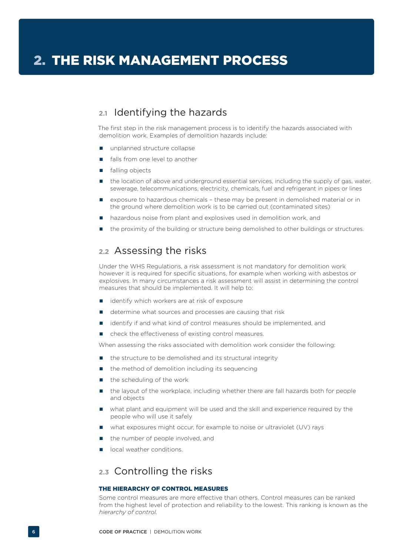# **2.1** Identifying the hazards

The first step in the risk management process is to identify the hazards associated with demolition work. Examples of demolition hazards include:

- unplanned structure collapse
- falls from one level to another
- falling objects
- the location of above and underground essential services, including the supply of gas, water, sewerage, telecommunications, electricity, chemicals, fuel and refrigerant in pipes or lines
- exposure to hazardous chemicals these may be present in demolished material or in the ground where demolition work is to be carried out (contaminated sites)
- **n** hazardous noise from plant and explosives used in demolition work, and
- the proximity of the building or structure being demolished to other buildings or structures.

### **2.2** Assessing the risks

Under the WHS Regulations, a risk assessment is not mandatory for demolition work however it is required for specific situations, for example when working with asbestos or explosives. In many circumstances a risk assessment will assist in determining the control measures that should be implemented. It will help to:

- identify which workers are at risk of exposure
- determine what sources and processes are causing that risk
- identify if and what kind of control measures should be implemented, and
- check the effectiveness of existing control measures.

When assessing the risks associated with demolition work consider the following:

- the structure to be demolished and its structural integrity
- the method of demolition including its sequencing
- the scheduling of the work
- the layout of the workplace, including whether there are fall hazards both for people and objects
- what plant and equipment will be used and the skill and experience required by the people who will use it safely
- what exposures might occur, for example to noise or ultraviolet (UV) rays
- the number of people involved, and
- $\blacksquare$  local weather conditions.

# **2.3** Controlling the risks

### THE HIEDARCHY OF CONTROL MEASURES

Some control measures are more effective than others. Control measures can be ranked from the highest level of protection and reliability to the lowest. This ranking is known as the *hierarchy of control.*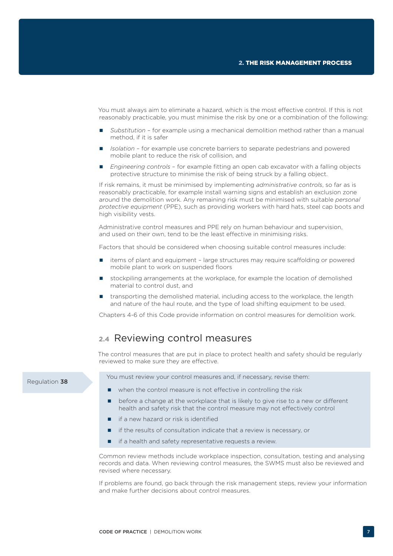You must always aim to eliminate a hazard, which is the most effective control. If this is not reasonably practicable, you must minimise the risk by one or a combination of the following:

- *Substitution* for example using a mechanical demolition method rather than a manual method, if it is safer
- *Isolation* for example use concrete barriers to separate pedestrians and powered mobile plant to reduce the risk of collision, and
- *Engineering controls* for example fitting an open cab excavator with a falling objects protective structure to minimise the risk of being struck by a falling object.

If risk remains, it must be minimised by implementing *administrative controls*, so far as is reasonably practicable, for example install warning signs and establish an exclusion zone around the demolition work. Any remaining risk must be minimised with suitable *personal protective equipment* (PPE), such as providing workers with hard hats, steel cap boots and high visibility vests.

Administrative control measures and PPE rely on human behaviour and supervision, and used on their own, tend to be the least effective in minimising risks.

Factors that should be considered when choosing suitable control measures include:

- items of plant and equipment large structures may require scaffolding or powered mobile plant to work on suspended floors
- stockpiling arrangements at the workplace, for example the location of demolished material to control dust, and
- transporting the demolished material, including access to the workplace, the length and nature of the haul route, and the type of load shifting equipment to be used.

Chapters 4-6 of this Code provide information on control measures for demolition work.

### **2.4** Reviewing control measures

The control measures that are put in place to protect health and safety should be regularly reviewed to make sure they are effective.

You must review your control measures and, if necessary, revise them:

- when the control measure is not effective in controlling the risk
- **•** before a change at the workplace that is likely to give rise to a new or different health and safety risk that the control measure may not effectively control
- if a new hazard or risk is identified
- if the results of consultation indicate that a review is necessary, or
- $\blacksquare$  if a health and safety representative requests a review.

Common review methods include workplace inspection, consultation, testing and analysing records and data. When reviewing control measures, the SWMS must also be reviewed and revised where necessary.

If problems are found, go back through the risk management steps, review your information and make further decisions about control measures.

#### Regulation 38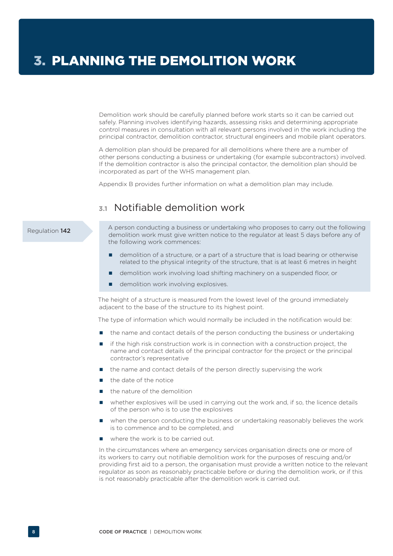Demolition work should be carefully planned before work starts so it can be carried out safely. Planning involves identifying hazards, assessing risks and determining appropriate control measures in consultation with all relevant persons involved in the work including the principal contractor, demolition contractor, structural engineers and mobile plant operators.

A demolition plan should be prepared for all demolitions where there are a number of other persons conducting a business or undertaking (for example subcontractors) involved. If the demolition contractor is also the principal contactor, the demolition plan should be incorporated as part of the WHS management plan.

Appendix B provides further information on what a demolition plan may include.

# **3.1** Notifiable demolition work

### Regulation 142

A person conducting a business or undertaking who proposes to carry out the following demolition work must give written notice to the regulator at least 5 days before any of the following work commences:

- **demolition of a structure, or a part of a structure that is load bearing or otherwise** related to the physical integrity of the structure, that is at least 6 metres in height
- demolition work involving load shifting machinery on a suspended floor, or
- demolition work involving explosives.

The height of a structure is measured from the lowest level of the ground immediately adjacent to the base of the structure to its highest point.

The type of information which would normally be included in the notification would be:

- **n** the name and contact details of the person conducting the business or undertaking
- if the high risk construction work is in connection with a construction project, the name and contact details of the principal contractor for the project or the principal contractor's representative
- the name and contact details of the person directly supervising the work
- the date of the notice
- the nature of the demolition
- whether explosives will be used in carrying out the work and, if so, the licence details of the person who is to use the explosives
- when the person conducting the business or undertaking reasonably believes the work is to commence and to be completed, and
- where the work is to be carried out.

In the circumstances where an emergency services organisation directs one or more of its workers to carry out notifiable demolition work for the purposes of rescuing and/or providing first aid to a person, the organisation must provide a written notice to the relevant regulator as soon as reasonably practicable before or during the demolition work, or if this is not reasonably practicable after the demolition work is carried out.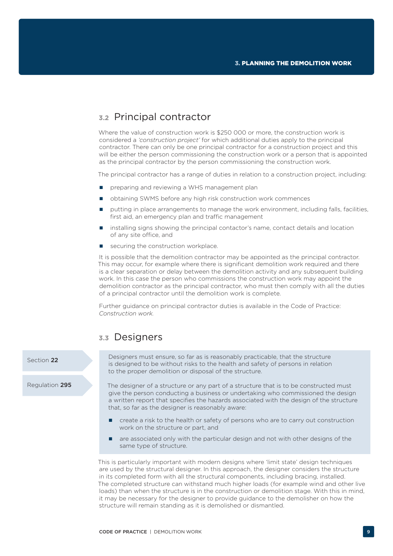# **3.2** Principal contractor

Where the value of construction work is \$250 000 or more, the construction work is considered a *'construction project'* for which additional duties apply to the principal contractor. There can only be one principal contractor for a construction project and this will be either the person commissioning the construction work or a person that is appointed as the principal contractor by the person commissioning the construction work.

The principal contractor has a range of duties in relation to a construction project, including:

- **P** preparing and reviewing a WHS management plan
- obtaining SWMS before any high risk construction work commences
- putting in place arrangements to manage the work environment, including falls, facilities, first aid, an emergency plan and traffic management
- installing signs showing the principal contactor's name, contact details and location of any site office, and
- securing the construction workplace.

It is possible that the demolition contractor may be appointed as the principal contractor. This may occur, for example where there is significant demolition work required and there is a clear separation or delay between the demolition activity and any subsequent building work. In this case the person who commissions the construction work may appoint the demolition contractor as the principal contractor, who must then comply with all the duties of a principal contractor until the demolition work is complete.

Further guidance on principal contractor duties is available in the Code of Practice: *Construction work.*

### **3.3** Designers

### Section 22

Regulation 295

Designers must ensure, so far as is reasonably practicable, that the structure is designed to be without risks to the health and safety of persons in relation to the proper demolition or disposal of the structure.

The designer of a structure or any part of a structure that is to be constructed must give the person conducting a business or undertaking who commissioned the design a written report that specifies the hazards associated with the design of the structure that, so far as the designer is reasonably aware:

- create a risk to the health or safety of persons who are to carry out construction work on the structure or part, and
- $\blacksquare$  are associated only with the particular design and not with other designs of the same type of structure.

This is particularly important with modern designs where 'limit state' design techniques are used by the structural designer. In this approach, the designer considers the structure in its completed form with all the structural components, including bracing, installed. The completed structure can withstand much higher loads (for example wind and other live loads) than when the structure is in the construction or demolition stage. With this in mind, it may be necessary for the designer to provide guidance to the demolisher on how the structure will remain standing as it is demolished or dismantled.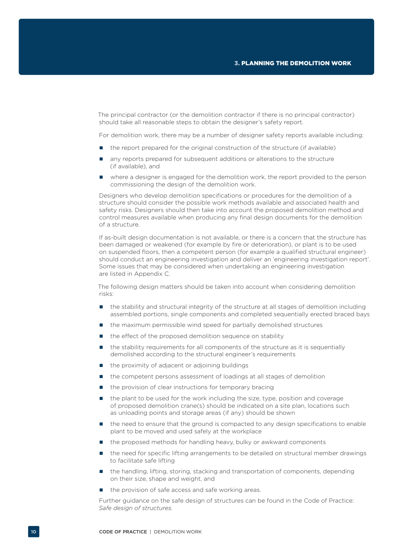The principal contractor (or the demolition contractor if there is no principal contractor) should take all reasonable steps to obtain the designer's safety report.

For demolition work, there may be a number of designer safety reports available including:

- the report prepared for the original construction of the structure (if available)
- any reports prepared for subsequent additions or alterations to the structure (if available), and
- where a designer is engaged for the demolition work, the report provided to the person commissioning the design of the demolition work.

Designers who develop demolition specifications or procedures for the demolition of a structure should consider the possible work methods available and associated health and safety risks. Designers should then take into account the proposed demolition method and control measures available when producing any final design documents for the demolition of a structure.

If as-built design documentation is not available, or there is a concern that the structure has been damaged or weakened (for example by fire or deterioration), or plant is to be used on suspended floors, then a competent person (for example a qualified structural engineer) should conduct an engineering investigation and deliver an 'engineering investigation report'. Some issues that may be considered when undertaking an engineering investigation are listed in Appendix C.

The following design matters should be taken into account when considering demolition risks:

- the stability and structural integrity of the structure at all stages of demolition including assembled portions, single components and completed sequentially erected braced bays
- the maximum permissible wind speed for partially demolished structures
- the effect of the proposed demolition sequence on stability
- the stability requirements for all components of the structure as it is sequentially demolished according to the structural engineer's requirements
- the proximity of adiacent or adioining buildings
- the competent persons assessment of loadings at all stages of demolition
- $\blacksquare$  the provision of clear instructions for temporary bracing
- the plant to be used for the work including the size, type, position and coverage of proposed demolition crane(s) should be indicated on a site plan, locations such as unloading points and storage areas (if any) should be shown
- the need to ensure that the ground is compacted to any design specifications to enable plant to be moved and used safely at the workplace
- the proposed methods for handling heavy, bulky or awkward components
- the need for specific lifting arrangements to be detailed on structural member drawings to facilitate safe lifting
- the handling, lifting, storing, stacking and transportation of components, depending on their size, shape and weight, and
- the provision of safe access and safe working areas.

Further guidance on the safe design of structures can be found in the Code of Practice: *Safe design of structures.*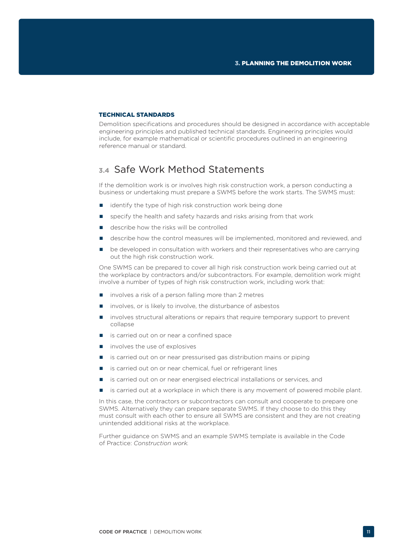### TECHNICAL STANDARDS

Demolition specifications and procedures should be designed in accordance with acceptable engineering principles and published technical standards. Engineering principles would include, for example mathematical or scientific procedures outlined in an engineering reference manual or standard.

# **3.4** Safe Work Method Statements

If the demolition work is or involves high risk construction work, a person conducting a business or undertaking must prepare a SWMS before the work starts. The SWMS must:

- identify the type of high risk construction work being done
- specify the health and safety hazards and risks arising from that work
- describe how the risks will be controlled
- describe how the control measures will be implemented, monitored and reviewed, and
- **•** be developed in consultation with workers and their representatives who are carrying out the high risk construction work.

One SWMS can be prepared to cover all high risk construction work being carried out at the workplace by contractors and/or subcontractors. For example, demolition work might involve a number of types of high risk construction work, including work that:

- involves a risk of a person falling more than 2 metres
- involves, or is likely to involve, the disturbance of asbestos
- involves structural alterations or repairs that require temporary support to prevent collapse
- is carried out on or near a confined space
- $\blacksquare$  involves the use of explosives
- **is carried out on or near pressurised gas distribution mains or piping**
- is carried out on or near chemical, fuel or refrigerant lines
- is carried out on or near energised electrical installations or services, and
- **I** is carried out at a workplace in which there is any movement of powered mobile plant.

In this case, the contractors or subcontractors can consult and cooperate to prepare one SWMS. Alternatively they can prepare separate SWMS. If they choose to do this they must consult with each other to ensure all SWMS are consistent and they are not creating unintended additional risks at the workplace.

Further guidance on SWMS and an example SWMS template is available in the Code of Practice: *Construction work.*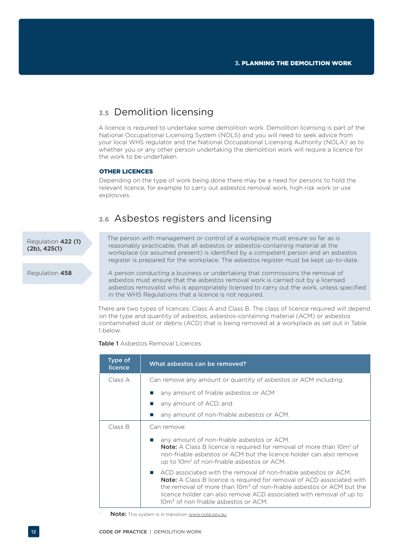# **3.5** Demolition licensing

A licence is required to undertake some demolition work. Demolition licensing is part of the National Occupational Licensing System (NOLS) and you will need to seek advice from your local WHS regulator and the National Occupational Licensing Authority (NOLA)<sup>1</sup> as to whether you or any other person undertaking the demolition work will require a licence for the work to be undertaken.

### OTHER LICENCES

Depending on the type of work being done there may be a need for persons to hold the relevant licence, for example to carry out asbestos removal work, high risk work or use explosives.

### **3.6** Asbestos registers and licensing

Regulation 422 (1) (2b), 425(1)

The person with management or control of a workplace must ensure so far as is reasonably practicable, that all asbestos or asbestos-containing material at the workplace (or assumed present) is identified by a competent person and an asbestos register is prepared for the workplace. The asbestos register must be kept up-to-date.

Regulation 458

A person conducting a business or undertaking that commissions the removal of asbestos must ensure that the asbestos removal work is carried out by a licensed asbestos removalist who is appropriately licensed to carry out the work, unless specified in the WHS Regulations that a licence is not required.

There are two types of licences: Class A and Class B. The class of licence required will depend on the type and quantity of asbestos, asbestos-containing material (ACM) or asbestos contaminated dust or debris (ACD) that is being removed at a workplace as set out in Table 1 below.

Table 1 Asbestos Removal Licences

| Type of<br><b>licence</b> | What asbestos can be removed?                                                                                                                                                                                                                                                                                                                                   |  |
|---------------------------|-----------------------------------------------------------------------------------------------------------------------------------------------------------------------------------------------------------------------------------------------------------------------------------------------------------------------------------------------------------------|--|
| Class A                   | Can remove any amount or quantity of asbestos or ACM including:                                                                                                                                                                                                                                                                                                 |  |
|                           | any amount of friable asbestos or ACM                                                                                                                                                                                                                                                                                                                           |  |
|                           | any amount of ACD, and                                                                                                                                                                                                                                                                                                                                          |  |
|                           | any amount of non-friable asbestos or ACM.                                                                                                                                                                                                                                                                                                                      |  |
| Class B                   | Can remove:                                                                                                                                                                                                                                                                                                                                                     |  |
|                           | any amount of non-friable asbestos or ACM.<br><b>Note:</b> A Class B licence is required for removal of more than 10m <sup>2</sup> of<br>non-friable asbestos or ACM but the licence holder can also remove<br>up to 10m <sup>2</sup> of non-friable asbestos or ACM.                                                                                           |  |
|                           | ACD associated with the removal of non-friable asbestos or ACM.<br><b>Note:</b> A Class B licence is required for removal of ACD associated with<br>the removal of more than 10m <sup>2</sup> of non-friable asbestos or ACM but the<br>licence holder can also remove ACD associated with removal of up to<br>10m <sup>2</sup> of non friable asbestos or ACM. |  |

Note: This system is in transition www.nola.gov.au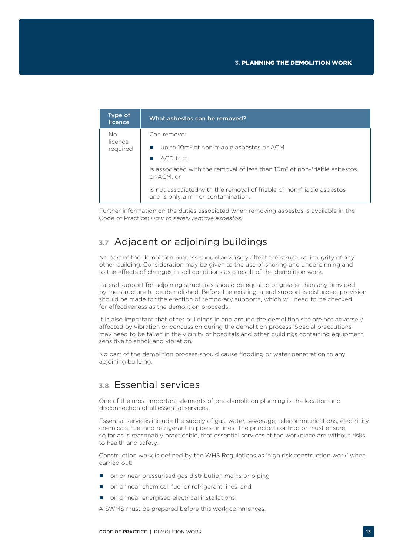| Type of<br>licence  | What asbestos can be removed?                                                                               |
|---------------------|-------------------------------------------------------------------------------------------------------------|
| Nο                  | Can remove:                                                                                                 |
| licence<br>required | up to 10m <sup>2</sup> of non-friable asbestos or ACM                                                       |
|                     | $ACD$ that                                                                                                  |
|                     | is associated with the removal of less than 10m <sup>2</sup> of non-friable asbestos<br>or ACM, or          |
|                     | is not associated with the removal of friable or non-friable asbestos<br>and is only a minor contamination. |

Further information on the duties associated when removing asbestos is available in the Code of Practice: *How to safely remove asbestos.*

# **3.7** Adjacent or adjoining buildings

No part of the demolition process should adversely affect the structural integrity of any other building. Consideration may be given to the use of shoring and underpinning and to the effects of changes in soil conditions as a result of the demolition work.

Lateral support for adjoining structures should be equal to or greater than any provided by the structure to be demolished. Before the existing lateral support is disturbed, provision should be made for the erection of temporary supports, which will need to be checked for effectiveness as the demolition proceeds.

It is also important that other buildings in and around the demolition site are not adversely affected by vibration or concussion during the demolition process. Special precautions may need to be taken in the vicinity of hospitals and other buildings containing equipment sensitive to shock and vibration.

No part of the demolition process should cause flooding or water penetration to any adioining building.

# **3.8** Essential services

One of the most important elements of pre-demolition planning is the location and disconnection of all essential services.

Essential services include the supply of gas, water, sewerage, telecommunications, electricity, chemicals, fuel and refrigerant in pipes or lines. The principal contractor must ensure, so far as is reasonably practicable, that essential services at the workplace are without risks to health and safety.

Construction work is defined by the WHS Regulations as 'high risk construction work' when carried out:

- on or near pressurised gas distribution mains or piping
- on or near chemical, fuel or refrigerant lines, and
- on or near energised electrical installations.

A SWMS must be prepared before this work commences.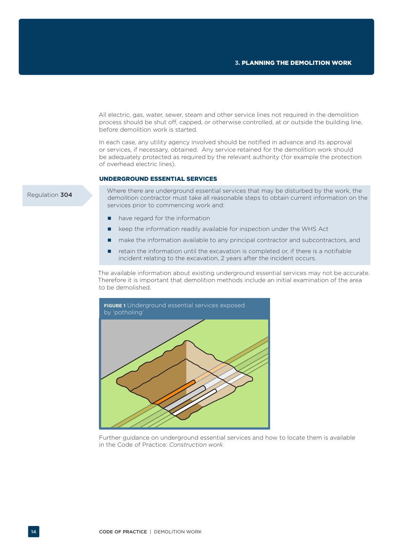All electric, gas, water, sewer, steam and other service lines not required in the demolition process should be shut off, capped, or otherwise controlled, at or outside the building line, before demolition work is started.

In each case, any utility agency involved should be notified in advance and its approval or services, if necessary, obtained. Any service retained for the demolition work should be adequately protected as required by the relevant authority (for example the protection of overhead electric lines).

### UNDERGROUND ESSENTIAL SERVICES

Where there are underground essential services that may be disturbed by the work, the demolition contractor must take all reasonable steps to obtain current information on the services prior to commencing work and:

- have regard for the information
- **E** keep the information readily available for inspection under the WHS Act
- make the information available to any principal contractor and subcontractors, and
- retain the information until the excavation is completed or, if there is a notifiable incident relating to the excavation, 2 years after the incident occurs.

The available information about existing underground essential services may not be accurate. Therefore it is important that demolition methods include an initial examination of the area to be demolished.



Further guidance on underground essential services and how to locate them is available in the Code of Practice: *Construction work.*

#### Regulation 304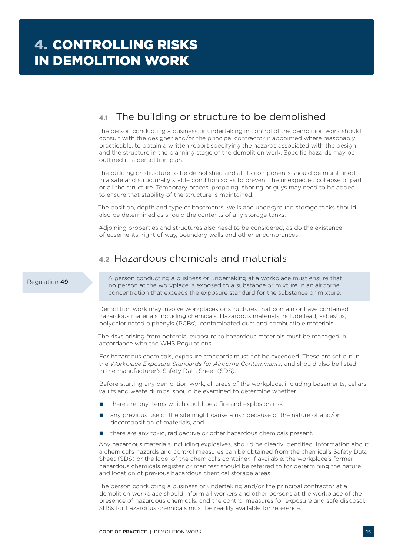# **4.1** The building or structure to be demolished

The person conducting a business or undertaking in control of the demolition work should consult with the designer and/or the principal contractor if appointed where reasonably practicable, to obtain a written report specifying the hazards associated with the design and the structure in the planning stage of the demolition work. Specific hazards may be outlined in a demolition plan.

The building or structure to be demolished and all its components should be maintained in a safe and structurally stable condition so as to prevent the unexpected collapse of part or all the structure. Temporary braces, propping, shoring or guys may need to be added to ensure that stability of the structure is maintained.

The position, depth and type of basements, wells and underground storage tanks should also be determined as should the contents of any storage tanks.

Adjoining properties and structures also need to be considered, as do the existence of easements, right of way, boundary walls and other encumbrances.

# **4.2** Hazardous chemicals and materials

### Regulation 49

A person conducting a business or undertaking at a workplace must ensure that no person at the workplace is exposed to a substance or mixture in an airborne concentration that exceeds the exposure standard for the substance or mixture.

Demolition work may involve workplaces or structures that contain or have contained hazardous materials including chemicals. Hazardous materials include lead, asbestos, polychlorinated biphenyls (PCBs), contaminated dust and combustible materials:

The risks arising from potential exposure to hazardous materials must be managed in accordance with the WHS Regulations.

For hazardous chemicals, exposure standards must not be exceeded. These are set out in the *Workplace Exposure Standards for Airborne Contaminants,* and should also be listed in the manufacturer's Safety Data Sheet (SDS).

Before starting any demolition work, all areas of the workplace, including basements, cellars, vaults and waste dumps, should be examined to determine whether:

- $\blacksquare$  there are any items which could be a fire and explosion risk
- any previous use of the site might cause a risk because of the nature of and/or decomposition of materials, and
- there are any toxic, radioactive or other hazardous chemicals present.

Any hazardous materials including explosives, should be clearly identified. Information about a chemical's hazards and control measures can be obtained from the chemical's Safety Data Sheet (SDS) or the label of the chemical's container. If available, the workplace's former hazardous chemicals register or manifest should be referred to for determining the nature and location of previous hazardous chemical storage areas.

The person conducting a business or undertaking and/or the principal contractor at a demolition workplace should inform all workers and other persons at the workplace of the presence of hazardous chemicals, and the control measures for exposure and safe disposal. SDSs for hazardous chemicals must be readily available for reference.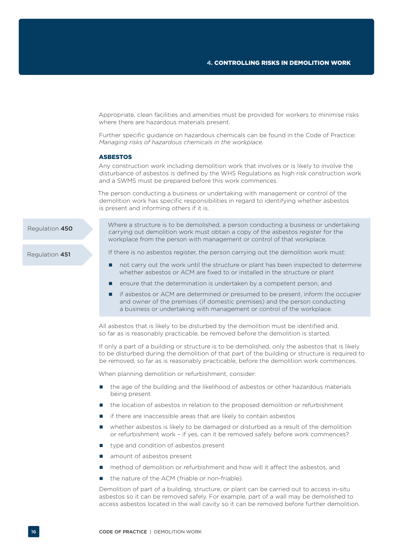Appropriate, clean facilities and amenities must be provided for workers to minimise risks where there are hazardous materials present.

Further specific guidance on hazardous chemicals can be found in the Code of Practice: *Managing risks of hazardous chemicals in the workplace.*

#### ASBESTOS

Any construction work including demolition work that involves or is likely to involve the disturbance of asbestos is defined by the WHS Regulations as high risk construction work and a SWMS must be prepared before this work commences.

The person conducting a business or undertaking with management or control of the demolition work has specific responsibilities in regard to identifying whether asbestos is present and informing others if it is.

Regulation 450

Regulation 451

carrying out demolition work must obtain a copy of the asbestos register for the workplace from the person with management or control of that workplace.

Where a structure is to be demolished, a person conducting a business or undertaking

If there is no asbestos register, the person carrying out the demolition work must:

- not carry out the work until the structure or plant has been inspected to determine whether asbestos or ACM are fixed to or installed in the structure or plant
- ensure that the determination is undertaken by a competent person, and
- if asbestos or ACM are determined or presumed to be present, inform the occupier and owner of the premises (if domestic premises) and the person conducting a business or undertaking with management or control of the workplace.

All asbestos that is likely to be disturbed by the demolition must be identified and, so far as is reasonably practicable, be removed before the demolition is started.

If only a part of a building or structure is to be demolished, only the asbestos that is likely to be disturbed during the demolition of that part of the building or structure is required to be removed, so far as is reasonably practicable, before the demolition work commences.

When planning demolition or refurbishment, consider:

- the age of the building and the likelihood of asbestos or other hazardous materials being present
- **the location of asbestos in relation to the proposed demolition or refurbishment**
- $\blacksquare$  if there are inaccessible areas that are likely to contain asbestos
- whether asbestos is likely to be damaged or disturbed as a result of the demolition or refurbishment work – if yes, can it be removed safely before work commences?
- **u** type and condition of asbestos present
- amount of asbestos present
- method of demolition or refurbishment and how will it affect the asbestos, and
- the nature of the ACM (friable or non-friable).

Demolition of part of a building, structure, or plant can be carried out to access in-situ asbestos so it can be removed safely. For example, part of a wall may be demolished to access asbestos located in the wall cavity so it can be removed before further demolition.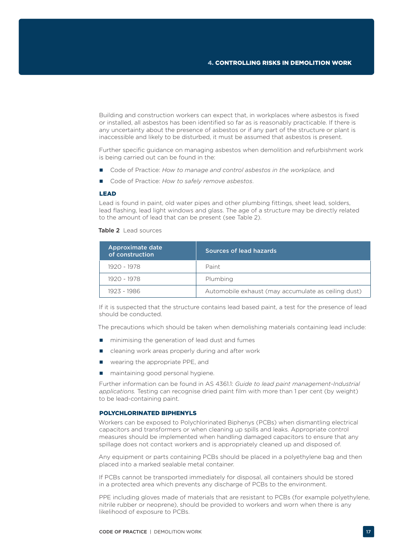Building and construction workers can expect that, in workplaces where asbestos is fixed or installed, all asbestos has been identified so far as is reasonably practicable. If there is any uncertainty about the presence of asbestos or if any part of the structure or plant is inaccessible and likely to be disturbed, it must be assumed that asbestos is present.

Further specific guidance on managing asbestos when demolition and refurbishment work is being carried out can be found in the:

- Code of Practice: *How to manage and control asbestos in the workplace,* and
- Code of Practice: How to safely remove asbestos.

#### LEAD

Lead is found in paint, old water pipes and other plumbing fittings, sheet lead, solders, lead flashing, lead light windows and glass. The age of a structure may be directly related to the amount of lead that can be present (see Table 2).

Table 2 Lead sources

| Approximate date<br>of construction | Sources of lead hazards                             |
|-------------------------------------|-----------------------------------------------------|
| 1920 - 1978                         | Paint                                               |
| 1920 - 1978                         | Plumbing                                            |
| 1923 - 1986                         | Automobile exhaust (may accumulate as ceiling dust) |

If it is suspected that the structure contains lead based paint, a test for the presence of lead should be conducted.

The precautions which should be taken when demolishing materials containing lead include:

- **n** minimising the generation of lead dust and fumes
- cleaning work areas properly during and after work
- **Now wearing the appropriate PPE, and**
- **n** maintaining good personal hygiene.

Further information can be found in AS 4361.1: *Guide to lead paint management-Industrial applications.* Testing can recognise dried paint film with more than 1 per cent (by weight) to be lead-containing paint.

#### POLYCHLORINATED BIPHENYLS

Workers can be exposed to Polychlorinated Biphenys (PCBs) when dismantling electrical capacitors and transformers or when cleaning up spills and leaks. Appropriate control measures should be implemented when handling damaged capacitors to ensure that any spillage does not contact workers and is appropriately cleaned up and disposed of.

Any equipment or parts containing PCBs should be placed in a polyethylene bag and then placed into a marked sealable metal container.

If PCBs cannot be transported immediately for disposal, all containers should be stored in a protected area which prevents any discharge of PCBs to the environment.

PPE including gloves made of materials that are resistant to PCBs (for example polyethylene, nitrile rubber or neoprene), should be provided to workers and worn when there is any likelihood of exposure to PCBs.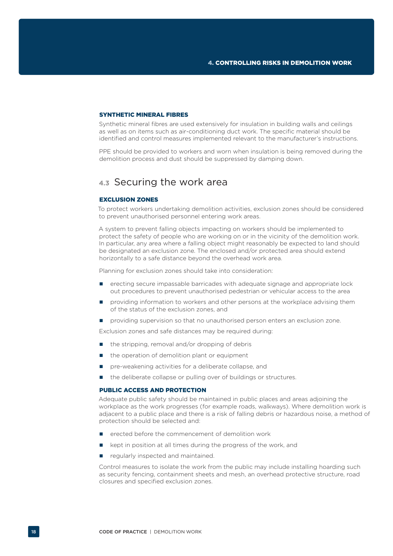#### SYNTHETIC MINERAL FIBRES

Synthetic mineral fibres are used extensively for insulation in building walls and ceilings as well as on items such as air-conditioning duct work. The specific material should be identified and control measures implemented relevant to the manufacturer's instructions.

PPE should be provided to workers and worn when insulation is being removed during the demolition process and dust should be suppressed by damping down.

### **4.3** Securing the work area

### EXCLUSION ZONES

To protect workers undertaking demolition activities, exclusion zones should be considered to prevent unauthorised personnel entering work areas.

A system to prevent falling objects impacting on workers should be implemented to protect the safety of people who are working on or in the vicinity of the demolition work. In particular, any area where a falling object might reasonably be expected to land should be designated an exclusion zone. The enclosed and/or protected area should extend horizontally to a safe distance beyond the overhead work area.

Planning for exclusion zones should take into consideration:

- erecting secure impassable barricades with adequate signage and appropriate lock out procedures to prevent unauthorised pedestrian or vehicular access to the area
- providing information to workers and other persons at the workplace advising them of the status of the exclusion zones, and
- **P** providing supervision so that no unauthorised person enters an exclusion zone.

Exclusion zones and safe distances may be required during:

- $\blacksquare$  the stripping, removal and/or dropping of debris
- the operation of demolition plant or equipment
- **P** pre-weakening activities for a deliberate collapse, and
- the deliberate collapse or pulling over of buildings or structures.

#### PUBLIC ACCESS AND PROTECTION

Adequate public safety should be maintained in public places and areas adjoining the workplace as the work progresses (for example roads, walkways). Where demolition work is adjacent to a public place and there is a risk of falling debris or hazardous noise, a method of protection should be selected and:

- erected before the commencement of demolition work
- kept in position at all times during the progress of the work, and
- regularly inspected and maintained.

Control measures to isolate the work from the public may include installing hoarding such as security fencing, containment sheets and mesh, an overhead protective structure, road closures and specified exclusion zones.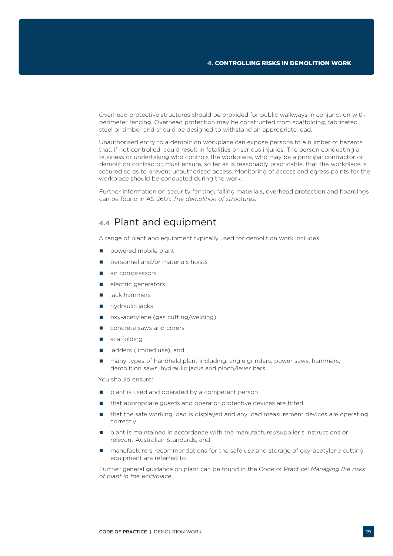Overhead protective structures should be provided for public walkways in conjunction with perimeter fencing. Overhead protection may be constructed from scaffolding, fabricated steel or timber and should be designed to withstand an appropriate load.

Unauthorised entry to a demolition workplace can expose persons to a number of hazards that, if not controlled, could result in fatalities or serious injuries. The person conducting a business or undertaking who controls the workplace, who may be a principal contractor or demolition contractor, must ensure, so far as is reasonably practicable, that the workplace is secured so as to prevent unauthorised access. Monitoring of access and egress points for the workplace should be conducted during the work.

Further information on security fencing, falling materials, overhead protection and hoardings can be found in AS 2601: *The demolition of structures.*

### **4.4** Plant and equipment

A range of plant and equipment typically used for demolition work includes:

- powered mobile plant
- personnel and/or materials hoists
- air compressors
- electric generators
- $\blacksquare$  iack hammers
- **n** hydraulic jacks
- oxy-acetylene (gas cutting/welding)
- concrete saws and corers
- scaffolding
- alladders (limited use), and
- many types of handheld plant including: angle grinders, power saws, hammers, demolition saws, hydraulic jacks and pinch/lever bars.

You should ensure:

- **P** plant is used and operated by a competent person
- $\blacksquare$  that appropriate guards and operator protective devices are fitted
- that the safe working load is displayed and any load measurement devices are operating correctly
- **P** plant is maintained in accordance with the manufacturer/supplier's instructions or relevant Australian Standards, and
- manufacturers recommendations for the safe use and storage of oxy-acetylene cutting equipment are referred to.

Further general guidance on plant can be found in the Code of Practice: *Managing the risks of plant in the workplace.*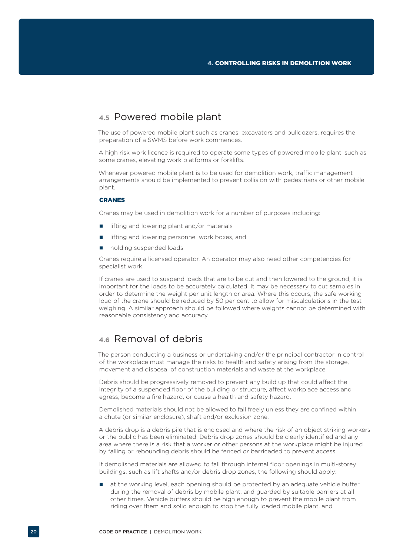# **4.5** Powered mobile plant

The use of powered mobile plant such as cranes, excavators and bulldozers, requires the preparation of a SWMS before work commences.

A high risk work licence is required to operate some types of powered mobile plant, such as some cranes, elevating work platforms or forklifts.

Whenever powered mobile plant is to be used for demolition work, traffic management arrangements should be implemented to prevent collision with pedestrians or other mobile plant.

### CRANES

Cranes may be used in demolition work for a number of purposes including:

- $\blacksquare$  lifting and lowering plant and/or materials
- lifting and lowering personnel work boxes, and
- holding suspended loads.

Cranes require a licensed operator. An operator may also need other competencies for specialist work.

If cranes are used to suspend loads that are to be cut and then lowered to the ground, it is important for the loads to be accurately calculated. It may be necessary to cut samples in order to determine the weight per unit length or area. Where this occurs, the safe working load of the crane should be reduced by 50 per cent to allow for miscalculations in the test weighing. A similar approach should be followed where weights cannot be determined with reasonable consistency and accuracy.

# **4.6** Removal of debris

The person conducting a business or undertaking and/or the principal contractor in control of the workplace must manage the risks to health and safety arising from the storage, movement and disposal of construction materials and waste at the workplace.

Debris should be progressively removed to prevent any build up that could affect the integrity of a suspended floor of the building or structure, affect workplace access and egress, become a fire hazard, or cause a health and safety hazard.

Demolished materials should not be allowed to fall freely unless they are confined within a chute (or similar enclosure), shaft and/or exclusion zone.

A debris drop is a debris pile that is enclosed and where the risk of an object striking workers or the public has been eliminated. Debris drop zones should be clearly identified and any area where there is a risk that a worker or other persons at the workplace might be injured by falling or rebounding debris should be fenced or barricaded to prevent access.

If demolished materials are allowed to fall through internal floor openings in multi-storey buildings, such as lift shafts and/or debris drop zones, the following should apply:

**a** at the working level, each opening should be protected by an adequate vehicle buffer during the removal of debris by mobile plant, and guarded by suitable barriers at all other times. Vehicle buffers should be high enough to prevent the mobile plant from riding over them and solid enough to stop the fully loaded mobile plant, and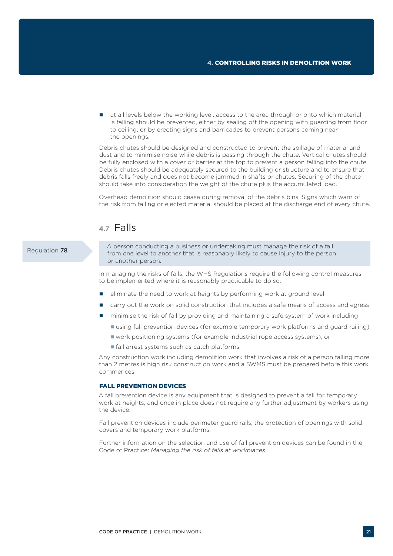at all levels below the working level, access to the area through or onto which material is falling should be prevented, either by sealing off the opening with guarding from floor to ceiling, or by erecting signs and barricades to prevent persons coming near the openings.

Debris chutes should be designed and constructed to prevent the spillage of material and dust and to minimise noise while debris is passing through the chute. Vertical chutes should be fully enclosed with a cover or barrier at the top to prevent a person falling into the chute. Debris chutes should be adequately secured to the building or structure and to ensure that debris falls freely and does not become jammed in shafts or chutes. Securing of the chute should take into consideration the weight of the chute plus the accumulated load.

Overhead demolition should cease during removal of the debris bins. Signs which warn of the risk from falling or ejected material should be placed at the discharge end of every chute.

### **4.7** Falls

### Regulation 78

A person conducting a business or undertaking must manage the risk of a fall from one level to another that is reasonably likely to cause injury to the person or another person.

In managing the risks of falls, the WHS Regulations require the following control measures to be implemented where it is reasonably practicable to do so:

- **E** eliminate the need to work at heights by performing work at ground level
- carry out the work on solid construction that includes a safe means of access and egress
- minimise the risk of fall by providing and maintaining a safe system of work including
	- using fall prevention devices (for example temporary work platforms and guard railing)
	- work positioning systems (for example industrial rope access systems), or
	- **fall arrest systems such as catch platforms.**

Any construction work including demolition work that involves a risk of a person falling more than 2 metres is high risk construction work and a SWMS must be prepared before this work commences.

### FALL PREVENTION DEVICES

A fall prevention device is any equipment that is designed to prevent a fall for temporary work at heights, and once in place does not require any further adjustment by workers using the device.

Fall prevention devices include perimeter guard rails, the protection of openings with solid covers and temporary work platforms.

Further information on the selection and use of fall prevention devices can be found in the Code of Practice: *Managing the risk of falls at workplaces.*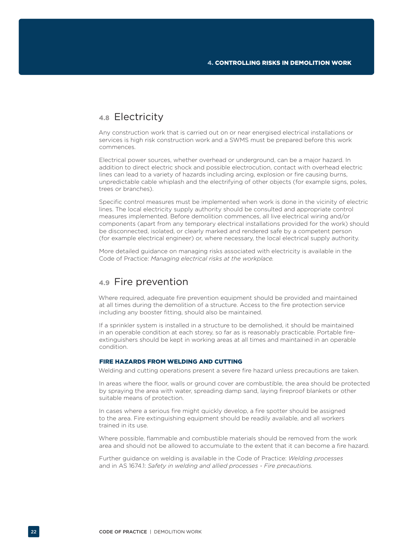# **4.8** Electricity

Any construction work that is carried out on or near energised electrical installations or services is high risk construction work and a SWMS must be prepared before this work commences.

Electrical power sources, whether overhead or underground, can be a major hazard. In addition to direct electric shock and possible electrocution, contact with overhead electric lines can lead to a variety of hazards including arcing, explosion or fire causing burns, unpredictable cable whiplash and the electrifying of other objects (for example signs, poles, trees or branches).

Specific control measures must be implemented when work is done in the vicinity of electric lines. The local electricity supply authority should be consulted and appropriate control measures implemented. Before demolition commences, all live electrical wiring and/or components (apart from any temporary electrical installations provided for the work) should be disconnected, isolated, or clearly marked and rendered safe by a competent person (for example electrical engineer) or, where necessary, the local electrical supply authority.

More detailed guidance on managing risks associated with electricity is available in the Code of Practice: *Managing electrical risks at the workplace.*

### **4.9** Fire prevention

Where required, adequate fire prevention equipment should be provided and maintained at all times during the demolition of a structure. Access to the fire protection service including any booster fitting, should also be maintained.

If a sprinkler system is installed in a structure to be demolished, it should be maintained in an operable condition at each storey, so far as is reasonably practicable. Portable fireextinguishers should be kept in working areas at all times and maintained in an operable condition.

### FIRE HAZARDS FROM WELDING AND CUTTING

Welding and cutting operations present a severe fire hazard unless precautions are taken.

In areas where the floor, walls or ground cover are combustible, the area should be protected by spraying the area with water, spreading damp sand, laying fireproof blankets or other suitable means of protection.

In cases where a serious fire might quickly develop, a fire spotter should be assigned to the area. Fire extinguishing equipment should be readily available, and all workers trained in its use.

Where possible, flammable and combustible materials should be removed from the work area and should not be allowed to accumulate to the extent that it can become a fire hazard.

Further guidance on welding is available in the Code of Practice: *Welding processes*  and in AS 1674.1: *Safety in welding and allied processes - Fire precautions.*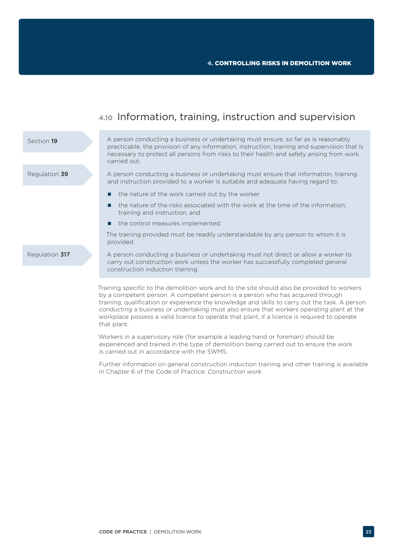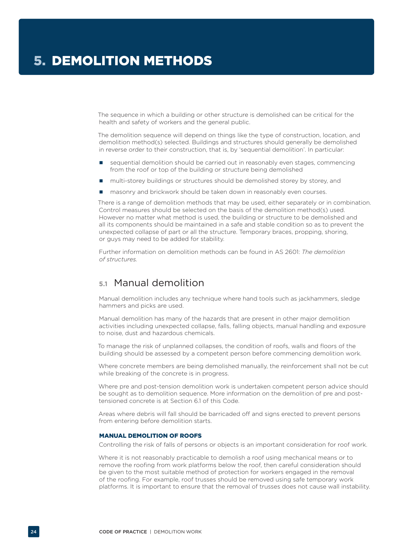The sequence in which a building or other structure is demolished can be critical for the health and safety of workers and the general public.

The demolition sequence will depend on things like the type of construction, location, and demolition method(s) selected. Buildings and structures should generally be demolished in reverse order to their construction, that is, by 'sequential demolition'. In particular:

- sequential demolition should be carried out in reasonably even stages, commencing from the roof or top of the building or structure being demolished
- multi-storey buildings or structures should be demolished storey by storey, and
- masonry and brickwork should be taken down in reasonably even courses.

There is a range of demolition methods that may be used, either separately or in combination. Control measures should be selected on the basis of the demolition method(s) used. However no matter what method is used, the building or structure to be demolished and all its components should be maintained in a safe and stable condition so as to prevent the unexpected collapse of part or all the structure. Temporary braces, propping, shoring, or guys may need to be added for stability.

Further information on demolition methods can be found in AS 2601: *The demolition of structures.*

## **5.1** Manual demolition

Manual demolition includes any technique where hand tools such as jackhammers, sledge hammers and picks are used.

Manual demolition has many of the hazards that are present in other major demolition activities including unexpected collapse, falls, falling objects, manual handling and exposure to noise, dust and hazardous chemicals.

To manage the risk of unplanned collapses, the condition of roofs, walls and floors of the building should be assessed by a competent person before commencing demolition work.

Where concrete members are being demolished manually, the reinforcement shall not be cut while breaking of the concrete is in progress.

Where pre and post-tension demolition work is undertaken competent person advice should be sought as to demolition sequence. More information on the demolition of pre and posttensioned concrete is at Section 6.1 of this Code.

Areas where debris will fall should be barricaded off and signs erected to prevent persons from entering before demolition starts.

### MANUAL DEMOLITION OF ROOFS

Controlling the risk of falls of persons or objects is an important consideration for roof work.

Where it is not reasonably practicable to demolish a roof using mechanical means or to remove the roofing from work platforms below the roof, then careful consideration should be given to the most suitable method of protection for workers engaged in the removal of the roofing. For example, roof trusses should be removed using safe temporary work platforms. It is important to ensure that the removal of trusses does not cause wall instability.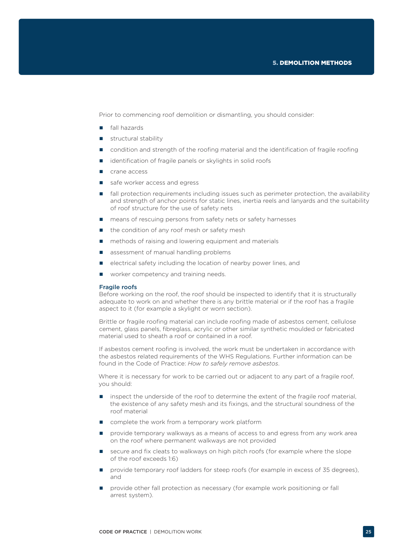Prior to commencing roof demolition or dismantling, you should consider:

- **fall hazards**
- structural stability
- condition and strength of the roofing material and the identification of fragile roofing
- identification of fragile panels or skylights in solid roofs
- crane access
- safe worker access and egress
- **fall protection requirements including issues such as perimeter protection, the availability** and strength of anchor points for static lines, inertia reels and lanyards and the suitability of roof structure for the use of safety nets
- means of rescuing persons from safety nets or safety harnesses
- $\blacksquare$  the condition of any roof mesh or safety mesh
- methods of raising and lowering equipment and materials
- assessment of manual handling problems
- $\Box$  electrical safety including the location of nearby power lines, and
- worker competency and training needs.

#### Fragile roofs

Before working on the roof, the roof should be inspected to identify that it is structurally adequate to work on and whether there is any brittle material or if the roof has a fragile aspect to it (for example a skylight or worn section).

Brittle or fragile roofing material can include roofing made of asbestos cement, cellulose cement, glass panels, fibreglass, acrylic or other similar synthetic moulded or fabricated material used to sheath a roof or contained in a roof.

If asbestos cement roofing is involved, the work must be undertaken in accordance with the asbestos related requirements of the WHS Regulations. Further information can be found in the Code of Practice: *How to safely remove asbestos*.

Where it is necessary for work to be carried out or adjacent to any part of a fragile roof, you should:

- inspect the underside of the roof to determine the extent of the fragile roof material, the existence of any safety mesh and its fixings, and the structural soundness of the roof material
- complete the work from a temporary work platform
- **Part of all provide temporary walkways as a means of access to and egress from any work area** on the roof where permanent walkways are not provided
- secure and fix cleats to walkways on high pitch roofs (for example where the slope of the roof exceeds 1:6)
- **Parameral interprove random** provide temporary roof ladders for steep roofs (for example in excess of 35 degrees), and
- **Perovide other fall protection as necessary (for example work positioning or fall** arrest system).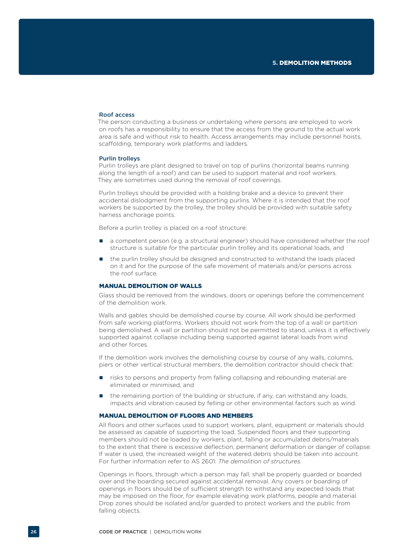#### Roof access

The person conducting a business or undertaking where persons are employed to work on roofs has a responsibility to ensure that the access from the ground to the actual work area is safe and without risk to health. Access arrangements may include personnel hoists, scaffolding, temporary work platforms and ladders.

#### Purlin trolleys

Purlin trolleys are plant designed to travel on top of purlins (horizontal beams running along the length of a roof) and can be used to support material and roof workers. They are sometimes used during the removal of roof coverings.

Purlin trolleys should be provided with a holding brake and a device to prevent their accidental dislodgment from the supporting purlins. Where it is intended that the roof workers be supported by the trolley, the trolley should be provided with suitable safety harness anchorage points.

Before a purlin trolley is placed on a roof structure:

- **a** a competent person (e.g. a structural engineer) should have considered whether the roof structure is suitable for the particular purlin trolley and its operational loads, and
- the purlin trolley should be designed and constructed to withstand the loads placed on it and for the purpose of the safe movement of materials and/or persons across the roof surface.

### MANUAL DEMOLITION OF WALLS

Glass should be removed from the windows, doors or openings before the commencement of the demolition work.

Walls and gables should be demolished course by course. All work should be performed from safe working platforms. Workers should not work from the top of a wall or partition being demolished. A wall or partition should not be permitted to stand, unless it is effectively supported against collapse including being supported against lateral loads from wind and other forces.

If the demolition work involves the demolishing course by course of any walls, columns, piers or other vertical structural members, the demolition contractor should check that:

- risks to persons and property from falling collapsing and rebounding material are eliminated or minimised, and
- the remaining portion of the building or structure, if any, can withstand any loads, impacts and vibration caused by felling or other environmental factors such as wind.

### MANUAL DEMOLITION OF FLOORS AND MEMBERS

All floors and other surfaces used to support workers, plant, equipment or materials should be assessed as capable of supporting the load. Suspended floors and their supporting members should not be loaded by workers, plant, falling or accumulated debris/materials to the extent that there is excessive deflection, permanent deformation or danger of collapse. If water is used, the increased weight of the watered debris should be taken into account. For further information refer to AS 2601: *The demolition of structures.*

Openings in floors, through which a person may fall, shall be properly guarded or boarded over and the boarding secured against accidental removal. Any covers or boarding of openings in floors should be of sufficient strength to withstand any expected loads that may be imposed on the floor, for example elevating work platforms, people and material. Drop zones should be isolated and/or guarded to protect workers and the public from falling objects.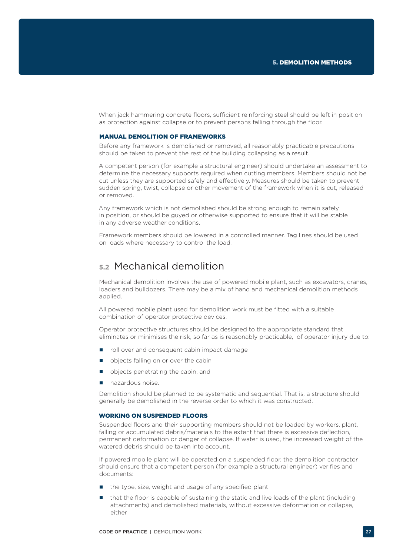When jack hammering concrete floors, sufficient reinforcing steel should be left in position as protection against collapse or to prevent persons falling through the floor.

#### MANUAL DEMOLITION OF FRAMEWORKS

Before any framework is demolished or removed, all reasonably practicable precautions should be taken to prevent the rest of the building collapsing as a result.

A competent person (for example a structural engineer) should undertake an assessment to determine the necessary supports required when cutting members. Members should not be cut unless they are supported safely and effectively. Measures should be taken to prevent sudden spring, twist, collapse or other movement of the framework when it is cut, released or removed.

Any framework which is not demolished should be strong enough to remain safely in position, or should be guyed or otherwise supported to ensure that it will be stable in any adverse weather conditions.

Framework members should be lowered in a controlled manner. Tag lines should be used on loads where necessary to control the load.

# **5.2** Mechanical demolition

Mechanical demolition involves the use of powered mobile plant, such as excavators, cranes, loaders and bulldozers. There may be a mix of hand and mechanical demolition methods applied.

All powered mobile plant used for demolition work must be fitted with a suitable combination of operator protective devices.

Operator protective structures should be designed to the appropriate standard that eliminates or minimises the risk, so far as is reasonably practicable, of operator injury due to:

- **n** roll over and consequent cabin impact damage
- objects falling on or over the cabin
- objects penetrating the cabin, and
- **hazardous noise**

Demolition should be planned to be systematic and sequential. That is, a structure should generally be demolished in the reverse order to which it was constructed.

### WORKING ON SUSPENDED FLOORS

Suspended floors and their supporting members should not be loaded by workers, plant, falling or accumulated debris/materials to the extent that there is excessive deflection, permanent deformation or danger of collapse. If water is used, the increased weight of the watered debris should be taken into account.

If powered mobile plant will be operated on a suspended floor, the demolition contractor should ensure that a competent person (for example a structural engineer) verifies and documents:

- the type, size, weight and usage of any specified plant
- that the floor is capable of sustaining the static and live loads of the plant (including attachments) and demolished materials, without excessive deformation or collapse, either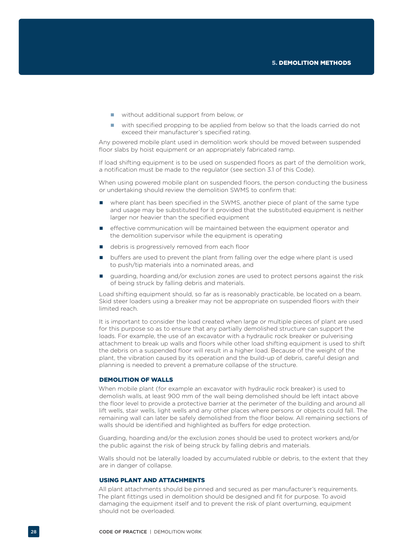- without additional support from below, or
- with specified propping to be applied from below so that the loads carried do not exceed their manufacturer's specified rating.

Any powered mobile plant used in demolition work should be moved between suspended floor slabs by hoist equipment or an appropriately fabricated ramp.

If load shifting equipment is to be used on suspended floors as part of the demolition work, a notification must be made to the regulator (see section 3.1 of this Code).

When using powered mobile plant on suspended floors, the person conducting the business or undertaking should review the demolition SWMS to confirm that:

- where plant has been specified in the SWMS, another piece of plant of the same type and usage may be substituted for it provided that the substituted equipment is neither larger nor heavier than the specified equipment
- effective communication will be maintained between the equipment operator and the demolition supervisor while the equipment is operating
- e debris is progressively removed from each floor
- buffers are used to prevent the plant from falling over the edge where plant is used to push/tip materials into a nominated areas, and
- guarding, hoarding and/or exclusion zones are used to protect persons against the risk of being struck by falling debris and materials.

Load shifting equipment should, so far as is reasonably practicable, be located on a beam. Skid steer loaders using a breaker may not be appropriate on suspended floors with their limited reach.

It is important to consider the load created when large or multiple pieces of plant are used for this purpose so as to ensure that any partially demolished structure can support the loads. For example, the use of an excavator with a hydraulic rock breaker or pulverising attachment to break up walls and floors while other load shifting equipment is used to shift the debris on a suspended floor will result in a higher load. Because of the weight of the plant, the vibration caused by its operation and the build-up of debris, careful design and planning is needed to prevent a premature collapse of the structure.

### DEMOLITION OF WALLS

When mobile plant (for example an excavator with hydraulic rock breaker) is used to demolish walls, at least 900 mm of the wall being demolished should be left intact above the floor level to provide a protective barrier at the perimeter of the building and around all lift wells, stair wells, light wells and any other places where persons or objects could fall. The remaining wall can later be safely demolished from the floor below. All remaining sections of walls should be identified and highlighted as buffers for edge protection.

Guarding, hoarding and/or the exclusion zones should be used to protect workers and/or the public against the risk of being struck by falling debris and materials.

Walls should not be laterally loaded by accumulated rubble or debris, to the extent that they are in danger of collapse.

### USING PLANT AND ATTACHMENTS

All plant attachments should be pinned and secured as per manufacturer's requirements. The plant fittings used in demolition should be designed and fit for purpose. To avoid damaging the equipment itself and to prevent the risk of plant overturning, equipment should not be overloaded.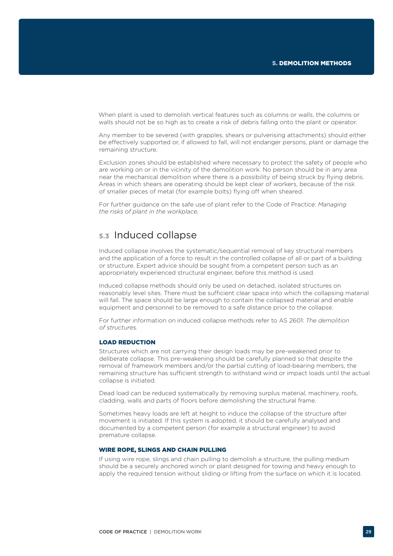When plant is used to demolish vertical features such as columns or walls, the columns or walls should not be so high as to create a risk of debris falling onto the plant or operator.

Any member to be severed (with grapples, shears or pulverising attachments) should either be effectively supported or, if allowed to fall, will not endanger persons, plant or damage the remaining structure.

Exclusion zones should be established where necessary to protect the safety of people who are working on or in the vicinity of the demolition work. No person should be in any area near the mechanical demolition where there is a possibility of being struck by flying debris. Areas in which shears are operating should be kept clear of workers, because of the risk of smaller pieces of metal (for example bolts) flying off when sheared.

For further guidance on the safe use of plant refer to the Code of Practice: *Managing the risks of plant in the workplace.*

# **5.3** Induced collapse

Induced collapse involves the systematic/sequential removal of key structural members and the application of a force to result in the controlled collapse of all or part of a building or structure. Expert advice should be sought from a competent person such as an appropriately experienced structural engineer, before this method is used.

Induced collapse methods should only be used on detached, isolated structures on reasonably level sites. There must be sufficient clear space into which the collapsing material will fall. The space should be large enough to contain the collapsed material and enable equipment and personnel to be removed to a safe distance prior to the collapse.

For further information on induced collapse methods refer to AS 2601: *The demolition of structures.*

### LOAD REDUCTION

Structures which are not carrying their design loads may be pre-weakened prior to deliberate collapse. This pre-weakening should be carefully planned so that despite the removal of framework members and/or the partial cutting of load-bearing members, the remaining structure has sufficient strength to withstand wind or impact loads until the actual collapse is initiated.

Dead load can be reduced systematically by removing surplus material, machinery, roofs, cladding, walls and parts of floors before demolishing the structural frame.

Sometimes heavy loads are left at height to induce the collapse of the structure after movement is initiated. If this system is adopted, it should be carefully analysed and documented by a competent person (for example a structural engineer) to avoid premature collapse.

#### WIRE ROPE, SLINGS AND CHAIN PULLING

If using wire rope, slings and chain pulling to demolish a structure, the pulling medium should be a securely anchored winch or plant designed for towing and heavy enough to apply the required tension without sliding or lifting from the surface on which it is located.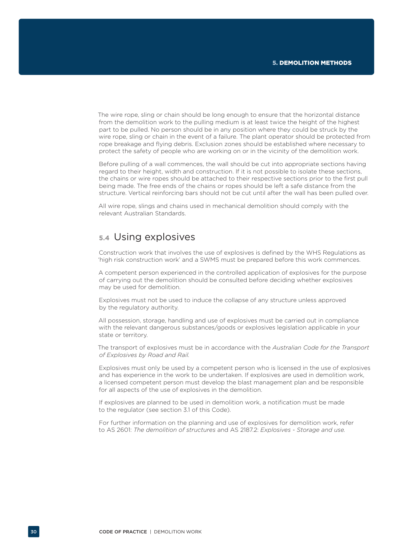The wire rope, sling or chain should be long enough to ensure that the horizontal distance from the demolition work to the pulling medium is at least twice the height of the highest part to be pulled. No person should be in any position where they could be struck by the wire rope, sling or chain in the event of a failure. The plant operator should be protected from rope breakage and flying debris. Exclusion zones should be established where necessary to protect the safety of people who are working on or in the vicinity of the demolition work.

Before pulling of a wall commences, the wall should be cut into appropriate sections having regard to their height, width and construction. If it is not possible to isolate these sections, the chains or wire ropes should be attached to their respective sections prior to the first pull being made. The free ends of the chains or ropes should be left a safe distance from the structure. Vertical reinforcing bars should not be cut until after the wall has been pulled over.

All wire rope, slings and chains used in mechanical demolition should comply with the relevant Australian Standards.

### **5.4** Using explosives

Construction work that involves the use of explosives is defined by the WHS Regulations as 'high risk construction work' and a SWMS must be prepared before this work commences.

A competent person experienced in the controlled application of explosives for the purpose of carrying out the demolition should be consulted before deciding whether explosives may be used for demolition.

Explosives must not be used to induce the collapse of any structure unless approved by the regulatory authority.

All possession, storage, handling and use of explosives must be carried out in compliance with the relevant dangerous substances/goods or explosives legislation applicable in your state or territory.

The transport of explosives must be in accordance with the *Australian Code for the Transport of Explosives by Road and Rail.*

Explosives must only be used by a competent person who is licensed in the use of explosives and has experience in the work to be undertaken. If explosives are used in demolition work, a licensed competent person must develop the blast management plan and be responsible for all aspects of the use of explosives in the demolition.

If explosives are planned to be used in demolition work, a notification must be made to the regulator (see section 3.1 of this Code).

For further information on the planning and use of explosives for demolition work, refer to AS 2601: *The demolition of structures* and AS 2187.2: *Explosives - Storage and use.*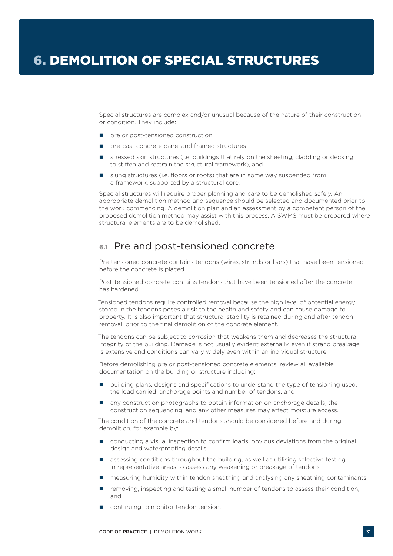Special structures are complex and/or unusual because of the nature of their construction or condition. They include:

- pre or post-tensioned construction
- pre-cast concrete panel and framed structures
- stressed skin structures (i.e. buildings that rely on the sheeting, cladding or decking to stiffen and restrain the structural framework), and
- slung structures (i.e. floors or roofs) that are in some way suspended from a framework, supported by a structural core.

Special structures will require proper planning and care to be demolished safely. An appropriate demolition method and sequence should be selected and documented prior to the work commencing. A demolition plan and an assessment by a competent person of the proposed demolition method may assist with this process. A SWMS must be prepared where structural elements are to be demolished.

# **6.1** Pre and post-tensioned concrete

Pre-tensioned concrete contains tendons (wires, strands or bars) that have been tensioned before the concrete is placed.

Post-tensioned concrete contains tendons that have been tensioned after the concrete has hardened.

Tensioned tendons require controlled removal because the high level of potential energy stored in the tendons poses a risk to the health and safety and can cause damage to property. It is also important that structural stability is retained during and after tendon removal, prior to the final demolition of the concrete element.

The tendons can be subject to corrosion that weakens them and decreases the structural integrity of the building. Damage is not usually evident externally, even if strand breakage is extensive and conditions can vary widely even within an individual structure.

Before demolishing pre or post-tensioned concrete elements, review all available documentation on the building or structure including:

- building plans, designs and specifications to understand the type of tensioning used, the load carried, anchorage points and number of tendons, and
- any construction photographs to obtain information on anchorage details, the construction sequencing, and any other measures may affect moisture access.

The condition of the concrete and tendons should be considered before and during demolition, for example by:

- conducting a visual inspection to confirm loads, obvious deviations from the original design and waterproofing details
- assessing conditions throughout the building, as well as utilising selective testing in representative areas to assess any weakening or breakage of tendons
- **n** measuring humidity within tendon sheathing and analysing any sheathing contaminants
- **F** removing, inspecting and testing a small number of tendons to assess their condition, and
- continuing to monitor tendon tension.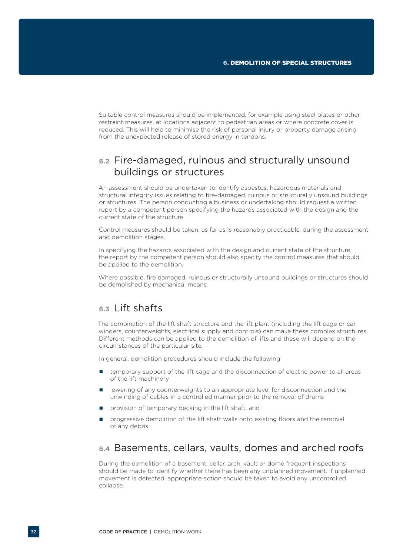Suitable control measures should be implemented, for example using steel plates or other restraint measures, at locations adjacent to pedestrian areas or where concrete cover is reduced. This will help to minimise the risk of personal injury or property damage arising from the unexpected release of stored energy in tendons.

# **6.2** Fire-damaged, ruinous and structurally unsound buildings or structures

An assessment should be undertaken to identify asbestos, hazardous materials and structural integrity issues relating to fire-damaged, ruinous or structurally unsound buildings or structures. The person conducting a business or undertaking should request a written report by a competent person specifying the hazards associated with the design and the current state of the structure.

Control measures should be taken, as far as is reasonably practicable, during the assessment and demolition stages.

In specifying the hazards associated with the design and current state of the structure, the report by the competent person should also specify the control measures that should be applied to the demolition.

Where possible, fire damaged, ruinous or structurally unsound buildings or structures should be demolished by mechanical means.

# **6.3** Lift shafts

The combination of the lift shaft structure and the lift plant (including the lift cage or car, winders, counterweights, electrical supply and controls) can make these complex structures. Different methods can be applied to the demolition of lifts and these will depend on the circumstances of the particular site.

In general, demolition procedures should include the following:

- $\blacksquare$  temporary support of the lift cage and the disconnection of electric power to all areas of the lift machinery
- **IDED** lowering of any counterweights to an appropriate level for disconnection and the unwinding of cables in a controlled manner prior to the removal of drums
- provision of temporary decking in the lift shaft, and
- progressive demolition of the lift shaft walls onto existing floors and the removal of any debris.

### **6.4** Basements, cellars, vaults, domes and arched roofs

During the demolition of a basement, cellar, arch, vault or dome frequent inspections should be made to identify whether there has been any unplanned movement. If unplanned movement is detected, appropriate action should be taken to avoid any uncontrolled collapse.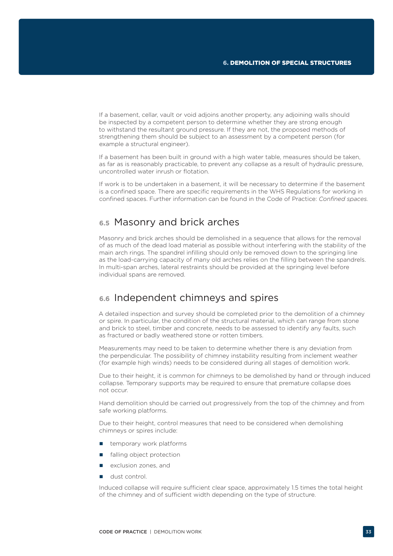If a basement, cellar, vault or void adjoins another property, any adjoining walls should be inspected by a competent person to determine whether they are strong enough to withstand the resultant ground pressure. If they are not, the proposed methods of strengthening them should be subject to an assessment by a competent person (for example a structural engineer).

If a basement has been built in ground with a high water table, measures should be taken, as far as is reasonably practicable, to prevent any collapse as a result of hydraulic pressure, uncontrolled water inrush or flotation.

If work is to be undertaken in a basement, it will be necessary to determine if the basement is a confined space. There are specific requirements in the WHS Regulations for working in confined spaces. Further information can be found in the Code of Practice: *Confined spaces.*

# **6.5** Masonry and brick arches

Masonry and brick arches should be demolished in a sequence that allows for the removal of as much of the dead load material as possible without interfering with the stability of the main arch rings. The spandrel infilling should only be removed down to the springing line as the load-carrying capacity of many old arches relies on the filling between the spandrels. In multi-span arches, lateral restraints should be provided at the springing level before individual spans are removed.

### **6.6** Independent chimneys and spires

A detailed inspection and survey should be completed prior to the demolition of a chimney or spire. In particular, the condition of the structural material, which can range from stone and brick to steel, timber and concrete, needs to be assessed to identify any faults, such as fractured or badly weathered stone or rotten timbers.

Measurements may need to be taken to determine whether there is any deviation from the perpendicular. The possibility of chimney instability resulting from inclement weather (for example high winds) needs to be considered during all stages of demolition work.

Due to their height, it is common for chimneys to be demolished by hand or through induced collapse. Temporary supports may be required to ensure that premature collapse does not occur.

Hand demolition should be carried out progressively from the top of the chimney and from safe working platforms.

Due to their height, control measures that need to be considered when demolishing chimneys or spires include:

- $\blacksquare$  temporary work platforms
- falling object protection
- exclusion zones, and
- dust control.

Induced collapse will require sufficient clear space, approximately 1.5 times the total height of the chimney and of sufficient width depending on the type of structure.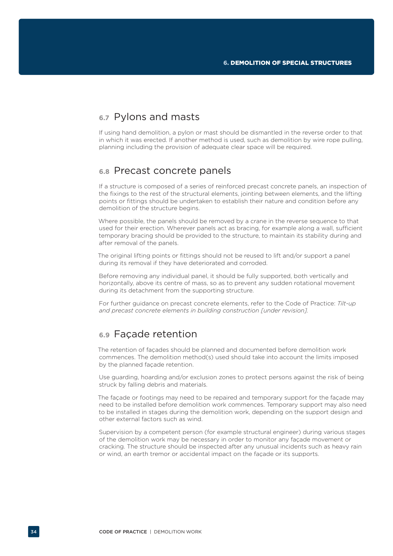# **6.7** Pylons and masts

If using hand demolition, a pylon or mast should be dismantled in the reverse order to that in which it was erected. If another method is used, such as demolition by wire rope pulling, planning including the provision of adequate clear space will be required.

### **6.8** Precast concrete panels

If a structure is composed of a series of reinforced precast concrete panels, an inspection of the fixings to the rest of the structural elements, jointing between elements, and the lifting points or fittings should be undertaken to establish their nature and condition before any demolition of the structure begins.

Where possible, the panels should be removed by a crane in the reverse sequence to that used for their erection. Wherever panels act as bracing, for example along a wall, sufficient temporary bracing should be provided to the structure, to maintain its stability during and after removal of the panels.

The original lifting points or fittings should not be reused to lift and/or support a panel during its removal if they have deteriorated and corroded.

Before removing any individual panel, it should be fully supported, both vertically and horizontally, above its centre of mass, so as to prevent any sudden rotational movement during its detachment from the supporting structure.

For further guidance on precast concrete elements, refer to the Code of Practice: *Tilt-up and precast concrete elements in building construction [under revision].*

### **6.9** Façade retention

The retention of façades should be planned and documented before demolition work commences. The demolition method(s) used should take into account the limits imposed by the planned façade retention.

Use guarding, hoarding and/or exclusion zones to protect persons against the risk of being struck by falling debris and materials.

The façade or footings may need to be repaired and temporary support for the façade may need to be installed before demolition work commences. Temporary support may also need to be installed in stages during the demolition work, depending on the support design and other external factors such as wind.

Supervision by a competent person (for example structural engineer) during various stages of the demolition work may be necessary in order to monitor any façade movement or cracking. The structure should be inspected after any unusual incidents such as heavy rain or wind, an earth tremor or accidental impact on the façade or its supports.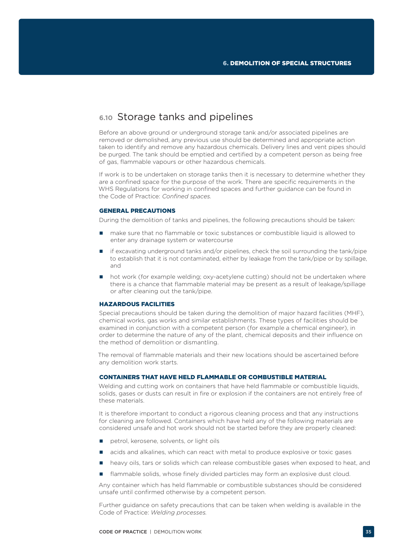### **6.10** Storage tanks and pipelines

Before an above ground or underground storage tank and/or associated pipelines are removed or demolished, any previous use should be determined and appropriate action taken to identify and remove any hazardous chemicals. Delivery lines and vent pipes should be purged. The tank should be emptied and certified by a competent person as being free of gas, flammable vapours or other hazardous chemicals.

If work is to be undertaken on storage tanks then it is necessary to determine whether they are a confined space for the purpose of the work. There are specific requirements in the WHS Regulations for working in confined spaces and further guidance can be found in the Code of Practice: *Confined spaces.*

#### GENERAL PRECAUTIONS

During the demolition of tanks and pipelines, the following precautions should be taken:

- **no** make sure that no flammable or toxic substances or combustible liquid is allowed to enter any drainage system or watercourse
- if excavating underground tanks and/or pipelines, check the soil surrounding the tank/pipe to establish that it is not contaminated, either by leakage from the tank/pipe or by spillage, and
- hot work (for example welding; oxy-acetylene cutting) should not be undertaken where there is a chance that flammable material may be present as a result of leakage/spillage or after cleaning out the tank/pipe.

### HAZARDOUS FACILITIES

Special precautions should be taken during the demolition of major hazard facilities (MHF), chemical works, gas works and similar establishments. These types of facilities should be examined in conjunction with a competent person (for example a chemical engineer), in order to determine the nature of any of the plant, chemical deposits and their influence on the method of demolition or dismantling.

The removal of flammable materials and their new locations should be ascertained before any demolition work starts.

### CONTAINERS THAT HAVE HELD FLAMMABLE OR COMBUSTIBLE MATERIAL

Welding and cutting work on containers that have held flammable or combustible liquids. solids, gases or dusts can result in fire or explosion if the containers are not entirely free of these materials.

It is therefore important to conduct a rigorous cleaning process and that any instructions for cleaning are followed. Containers which have held any of the following materials are considered unsafe and hot work should not be started before they are properly cleaned:

- petrol, kerosene, solvents, or light oils
- acids and alkalines, which can react with metal to produce explosive or toxic gases
- **n** heavy oils, tars or solids which can release combustible gases when exposed to heat, and
- flammable solids, whose finely divided particles may form an explosive dust cloud.

Any container which has held flammable or combustible substances should be considered unsafe until confirmed otherwise by a competent person.

Further guidance on safety precautions that can be taken when welding is available in the Code of Practice: *Welding processes.*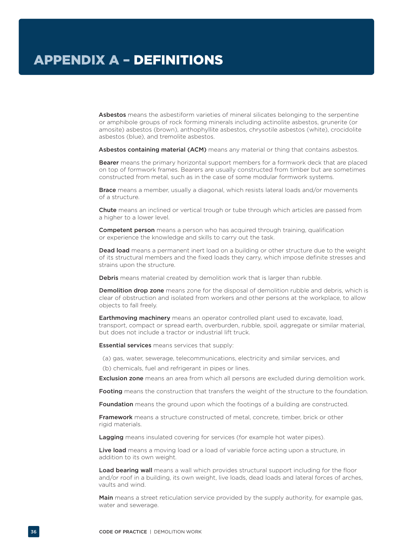Asbestos means the asbestiform varieties of mineral silicates belonging to the serpentine or amphibole groups of rock forming minerals including actinolite asbestos, grunerite (or amosite) asbestos (brown), anthophyllite asbestos, chrysotile asbestos (white), crocidolite asbestos (blue), and tremolite asbestos.

Asbestos containing material (ACM) means any material or thing that contains asbestos.

Bearer means the primary horizontal support members for a formwork deck that are placed on top of formwork frames. Bearers are usually constructed from timber but are sometimes constructed from metal, such as in the case of some modular formwork systems.

**Brace** means a member, usually a diagonal, which resists lateral loads and/or movements of a structure.

**Chute** means an inclined or vertical trough or tube through which articles are passed from a higher to a lower level.

**Competent person** means a person who has acquired through training, qualification or experience the knowledge and skills to carry out the task.

Dead load means a permanent inert load on a building or other structure due to the weight of its structural members and the fixed loads they carry, which impose definite stresses and strains upon the structure.

Debris means material created by demolition work that is larger than rubble.

**Demolition drop zone** means zone for the disposal of demolition rubble and debris, which is clear of obstruction and isolated from workers and other persons at the workplace, to allow objects to fall freely.

**Earthmoving machinery** means an operator controlled plant used to excavate, load, transport, compact or spread earth, overburden, rubble, spoil, aggregate or similar material, but does not include a tractor or industrial lift truck.

Essential services means services that supply:

(a) gas, water, sewerage, telecommunications, electricity and similar services, and

(b) chemicals, fuel and refrigerant in pipes or lines.

**Exclusion zone** means an area from which all persons are excluded during demolition work.

Footing means the construction that transfers the weight of the structure to the foundation.

**Foundation** means the ground upon which the footings of a building are constructed.

**Framework** means a structure constructed of metal, concrete, timber, brick or other rigid materials.

Lagging means insulated covering for services (for example hot water pipes).

Live load means a moving load or a load of variable force acting upon a structure, in addition to its own weight.

Load bearing wall means a wall which provides structural support including for the floor and/or roof in a building, its own weight, live loads, dead loads and lateral forces of arches, vaults and wind.

Main means a street reticulation service provided by the supply authority, for example gas, water and sewerage.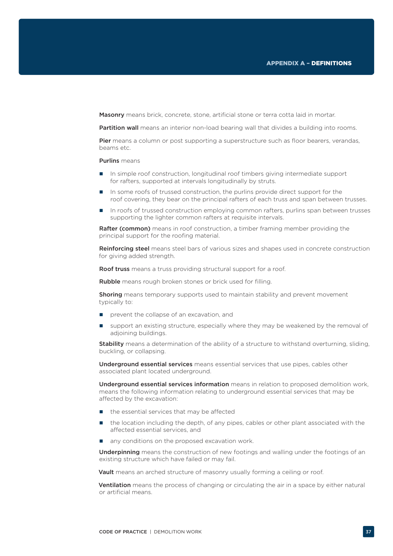Masonry means brick, concrete, stone, artificial stone or terra cotta laid in mortar.

Partition wall means an interior non-load bearing wall that divides a building into rooms.

Pier means a column or post supporting a superstructure such as floor bearers, verandas, beams etc.

#### Purlins means

- In simple roof construction, longitudinal roof timbers giving intermediate support for rafters, supported at intervals longitudinally by struts.
- In some roofs of trussed construction, the purlins provide direct support for the roof covering, they bear on the principal rafters of each truss and span between trusses.
- In roofs of trussed construction employing common rafters, purlins span between trusses supporting the lighter common rafters at requisite intervals.

Rafter (common) means in roof construction, a timber framing member providing the principal support for the roofing material.

Reinforcing steel means steel bars of various sizes and shapes used in concrete construction for giving added strength.

**Roof truss** means a truss providing structural support for a roof.

Rubble means rough broken stones or brick used for filling.

**Shoring** means temporary supports used to maintain stability and prevent movement typically to:

- **P** prevent the collapse of an excavation, and
- support an existing structure, especially where they may be weakened by the removal of adjoining buildings.

**Stability** means a determination of the ability of a structure to withstand overturning, sliding, buckling, or collapsing.

Underground essential services means essential services that use pipes, cables other associated plant located underground.

Underground essential services information means in relation to proposed demolition work, means the following information relating to underground essential services that may be affected by the excavation:

- $\blacksquare$  the essential services that may be affected
- the location including the depth, of any pipes, cables or other plant associated with the affected essential services, and
- any conditions on the proposed excavation work.

Underpinning means the construction of new footings and walling under the footings of an existing structure which have failed or may fail.

Vault means an arched structure of masonry usually forming a ceiling or roof.

**Ventilation** means the process of changing or circulating the air in a space by either natural or artificial means.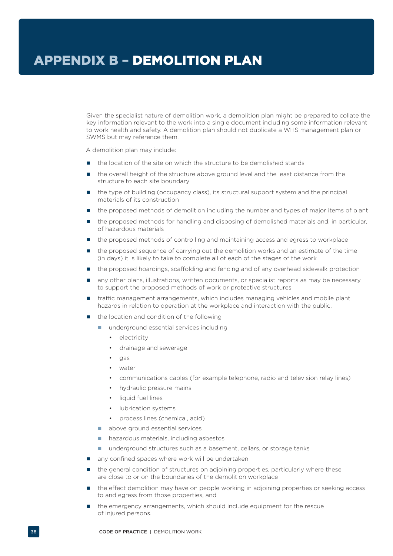Given the specialist nature of demolition work, a demolition plan might be prepared to collate the key information relevant to the work into a single document including some information relevant to work health and safety. A demolition plan should not duplicate a WHS management plan or SWMS but may reference them.

A demolition plan may include:

- the location of the site on which the structure to be demolished stands
- the overall height of the structure above ground level and the least distance from the structure to each site boundary
- the type of building (occupancy class), its structural support system and the principal materials of its construction
- the proposed methods of demolition including the number and types of major items of plant
- the proposed methods for handling and disposing of demolished materials and, in particular, of hazardous materials
- the proposed methods of controlling and maintaining access and egress to workplace
- **n** the proposed sequence of carrying out the demolition works and an estimate of the time (in days) it is likely to take to complete all of each of the stages of the work
- the proposed hoardings, scaffolding and fencing and of any overhead sidewalk protection
- any other plans, illustrations, written documents, or specialist reports as may be necessary to support the proposed methods of work or protective structures
- traffic management arrangements, which includes managing vehicles and mobile plant hazards in relation to operation at the workplace and interaction with the public.
- the location and condition of the following
	- **n** underground essential services including
		- electricity
		- drainage and sewerage
		- gas
		- water
		- communications cables (for example telephone, radio and television relay lines)
		- hydraulic pressure mains
		- liquid fuel lines
		- lubrication systems
		- process lines (chemical, acid)
	- above ground essential services
	- hazardous materials, including asbestos
	- underground structures such as a basement, cellars, or storage tanks
- any confined spaces where work will be undertaken
- the general condition of structures on adjoining properties, particularly where these are close to or on the boundaries of the demolition workplace
- the effect demolition may have on people working in adjoining properties or seeking access to and egress from those properties, and
- the emergency arrangements, which should include equipment for the rescue of injured persons.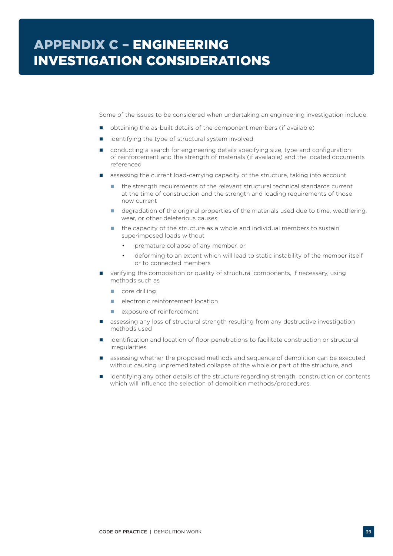Some of the issues to be considered when undertaking an engineering investigation include:

- obtaining the as-built details of the component members (if available)
- identifying the type of structural system involved
- conducting a search for engineering details specifying size, type and configuration of reinforcement and the strength of materials (if available) and the located documents referenced
- assessing the current load-carrying capacity of the structure, taking into account
	- the strength requirements of the relevant structural technical standards current at the time of construction and the strength and loading requirements of those now current
	- e degradation of the original properties of the materials used due to time, weathering, wear, or other deleterious causes
	- the capacity of the structure as a whole and individual members to sustain superimposed loads without
		- premature collapse of any member, or
		- deforming to an extent which will lead to static instability of the member itself or to connected members
- verifying the composition or quality of structural components, if necessary, using methods such as
	- core drilling
	- electronic reinforcement location
	- **E** exposure of reinforcement
- **B** assessing any loss of structural strength resulting from any destructive investigation methods used
- **I** identification and location of floor penetrations to facilitate construction or structural irregularities
- assessing whether the proposed methods and sequence of demolition can be executed without causing unpremeditated collapse of the whole or part of the structure, and
- identifying any other details of the structure regarding strength, construction or contents which will influence the selection of demolition methods/procedures.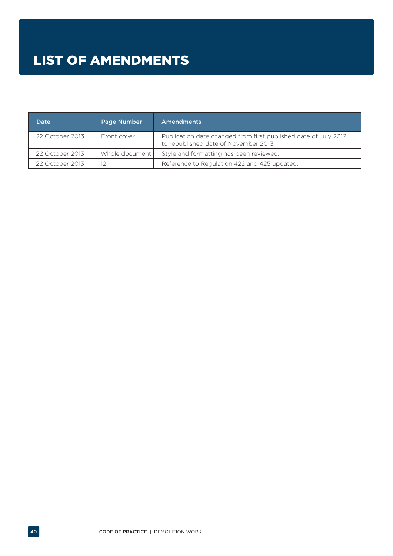| <b>Date</b>     | Page Number    | Amendments                                                                                               |
|-----------------|----------------|----------------------------------------------------------------------------------------------------------|
| 22 October 2013 | Front cover    | Publication date changed from first published date of July 2012<br>to republished date of November 2013. |
| 22 October 2013 | Whole document | Style and formatting has been reviewed.                                                                  |
| 22 October 2013 |                | Reference to Regulation 422 and 425 updated.                                                             |